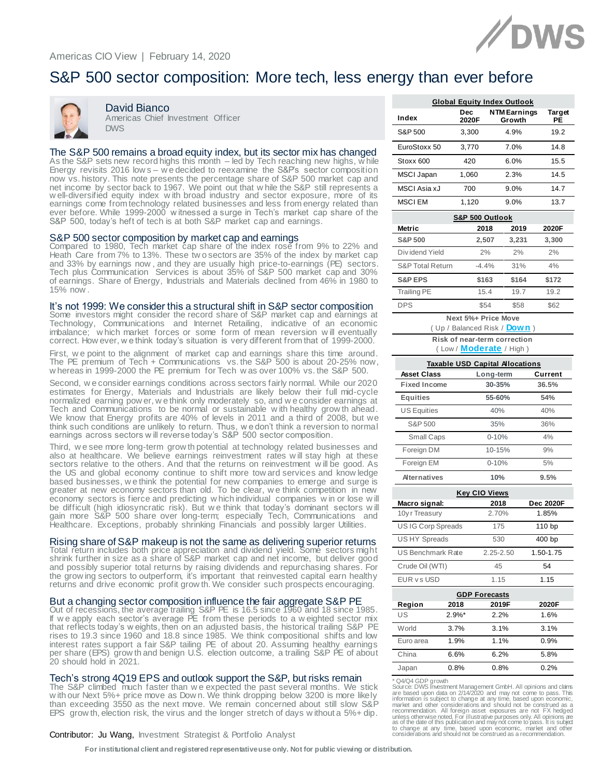

# S&P 500 sector composition: More tech, less energy than ever before



David Bianco Americas Chief Investment Officer **DWS** 

#### The S&P 500 remains a broad equity index, but its sector mix has changed

As the S&P sets new record highs this month – led by Tech reaching new highs, w hile Energy revisits 2016 low s – w e decided to reexamine the S&P's sector composition now vs. history. This note presents the percentage share of S&P 500 market cap and net income by sector back to 1967. We point out that w hile the S&P still represents a w ell-diversified equity index w ith broad industry and sector exposure, more of its earnings come from technology related businesses and less from energy related than ever before. While 1999-2000 w itnessed a surge in Tech's market cap share of the S&P 500, today's heft of tech is at both S&P market cap and earnings.

S&P 500 sector composition by market cap and earnings<br>Compared to 1980, Tech market cap share of the index rose from 9% to 22% and Heath Care from 7% to 13%. These tw o sectors are 35% of the index by market cap and 33% by earnings now , and they are usually high price-to-earnings (PE) sectors. Tech plus Communication Services is about 35% of S&P 500 market cap and 30% of earnings. Share of Energy, Industrials and Materials declined from 46% in 1980 to 15% now .

# It's not 1999: We consider this a structural shift in S&P sector composition<br>Some investors might consider the record share of S&P market cap and earnings at

Technology, Communications and Internet Retailing, indicative of an economic imbalance; w hich market forces or some form of mean reversion w ill eventually correct. How ever, w e think today's situation is very different from that of 1999-2000.

First, w e point to the alignment of market cap and earnings share this time around. The PE premium of Tech + Communications vs. the S&P 500 is about 20-25% now, w hereas in 1999-2000 the PE premium for Tech w as over 100% vs. the S&P 500.

Second, w e consider earnings conditions across sectors fairly normal. While our 2020 estimates for Energy, Materials and Industrials are likely below their full mid-cycle normalized earning pow er, w e think only moderately so, and w e consider earnings at Tech and Communications to be normal or sustainable w ith healthy grow th ahead. We know that Energy profits are 40% of levels in 2011 and a third of 2008, but we think such conditions are unlikely to return. Thus, w e don't think a reversion to normal earnings across sectors w ill reverse today's S&P 500 sector composition.

Third, w e see more long-term grow th potential at technology related businesses and also at healthcare. We believe earnings reinvestment rates will stay high at these sectors relative to the others. And that the returns on reinvestment will be good. As the US and global economy continue to shift more tow ard services and know ledge based businesses, w e think the potential for new companies to emerge and surge is greater at new economy sectors than old. To be clear, w e think competition in new economy sectors is fierce and predicting w hich individual companies w in or lose will be difficult (high idiosyncratic risk). But w e think that today's dominant sectors w ill gain more S&P 500 share over long-term; especially Tech, Communications and Healthcare. Exceptions, probably shrinking Financials and possibly larger Utilities.

### Rising share of S&P makeup is not the same as delivering superior returns

Total return includes both price appreciation and dividend yield. Some sectors might shrink further in size as a share of S&P market cap and net income, but deliver good and possibly superior total returns by raising dividends and repurchasing shares. For the grow ing sectors to outperform, it's important that reinvested capital earn healthy returns and drive economic profit grow th. We consider such prospects encouraging.

# But a changing sector composition influence the fair aggregate S&P PE Out of recessions, the average trailing S&P PE is 16.5 since 1960 and 18 since 1985.

If w e apply each sector's average PE from these periods to a w eighted sector mix that reflects today's w eights, then on an adjusted basis, the historical trailing S&P PE rises to 19.3 since 1960 and 18.8 since 1985. We think compositional shifts and low interest rates support a fair S&P tailing PE of about 20. Assuming healthy earnings per share (EPS) grow th and benign U.S. election outcome, a trailing S&P PE of about 20 should hold in 2021.

### Tech's strong 4Q19 EPS and outlook support the S&P, but risks remain

The S&P climbed much faster than w e expected the past several months. We stick w ith our Next 5%+ price move as Dow n. We think dropping below 3200 is more likely than exceeding 3550 as the next move. We remain concerned about still slow S&P EPS grow th, election risk, the virus and the longer stretch of days w ithout a 5%+ dip.

#### Contributor: Ju Wang, Investment Strategist & Portfolio Analyst

**For institutional client and registered representative use only. Not for public viewing or distribution.**

| <b>Global Equity Index Outlook</b> |              |                               |              |  |  |  |  |  |  |  |  |  |  |
|------------------------------------|--------------|-------------------------------|--------------|--|--|--|--|--|--|--|--|--|--|
| Index                              | Dec<br>2020F | <b>NTM Earnings</b><br>Growth | Target<br>PE |  |  |  |  |  |  |  |  |  |  |
| S&P 500                            | 3.300        | 4.9%                          | 19.2         |  |  |  |  |  |  |  |  |  |  |
| EuroStoxx 50                       | 3.770        | 7.0%                          | 14.8         |  |  |  |  |  |  |  |  |  |  |
| Stoxx 600                          | 420          | 6.0%                          | 15.5         |  |  |  |  |  |  |  |  |  |  |
| MSCI Japan                         | 1.060        | 2.3%                          | 14.5         |  |  |  |  |  |  |  |  |  |  |
| MSCI Asia xJ                       | 700          | 9.0%                          | 14.7         |  |  |  |  |  |  |  |  |  |  |
| <b>MSCIEM</b>                      | 1.120        | 9.0%                          | 13.7         |  |  |  |  |  |  |  |  |  |  |

| S&P 500 Outlook             |         |       |       |  |  |  |  |  |  |  |  |  |  |  |
|-----------------------------|---------|-------|-------|--|--|--|--|--|--|--|--|--|--|--|
| Metric                      | 2018    | 2019  | 2020F |  |  |  |  |  |  |  |  |  |  |  |
| <b>S&amp;P 500</b>          | 2.507   | 3,231 | 3.300 |  |  |  |  |  |  |  |  |  |  |  |
| Dividend Yield              | 2%      | 2%    | 2%    |  |  |  |  |  |  |  |  |  |  |  |
| <b>S&amp;P Total Return</b> | $-4.4%$ | 31%   | 4%    |  |  |  |  |  |  |  |  |  |  |  |
| <b>S&amp;P EPS</b>          | \$163   | \$164 | \$172 |  |  |  |  |  |  |  |  |  |  |  |
| <b>Trailing PE</b>          | 15.4    | 19.7  | 192   |  |  |  |  |  |  |  |  |  |  |  |
| <b>DPS</b>                  | \$54    | \$58  | \$62  |  |  |  |  |  |  |  |  |  |  |  |

**Next 5%+ Price Move**

( Up / Balanced Risk / **Down** )

**Risk of near-term correction**

( Low / **Moderate** / High )

|                     | <b>Taxable USD Capital Allocations</b> |                      |                  |  |  |  |  |  |  |  |  |  |  |  |
|---------------------|----------------------------------------|----------------------|------------------|--|--|--|--|--|--|--|--|--|--|--|
| <b>Asset Class</b>  |                                        | Long-term            | Current          |  |  |  |  |  |  |  |  |  |  |  |
| <b>Fixed Income</b> |                                        | 30-35%               | 36.5%            |  |  |  |  |  |  |  |  |  |  |  |
| <b>Equities</b>     |                                        | 55-60%               | 54%              |  |  |  |  |  |  |  |  |  |  |  |
| <b>US Equities</b>  |                                        | 40%                  | 40%              |  |  |  |  |  |  |  |  |  |  |  |
| S&P 500             |                                        | 35%                  | 36%              |  |  |  |  |  |  |  |  |  |  |  |
| <b>Small Caps</b>   |                                        | $0 - 10%$            | 4%               |  |  |  |  |  |  |  |  |  |  |  |
| Foreign DM          |                                        | 10-15%               | 9%               |  |  |  |  |  |  |  |  |  |  |  |
| Foreign EM          |                                        | $0 - 10%$            | 5%               |  |  |  |  |  |  |  |  |  |  |  |
| <b>Alternatives</b> |                                        | 10%                  | 9.5%             |  |  |  |  |  |  |  |  |  |  |  |
|                     |                                        | <b>Key CIO Views</b> |                  |  |  |  |  |  |  |  |  |  |  |  |
| Macro signal:       |                                        | 2018                 | <b>Dec 2020F</b> |  |  |  |  |  |  |  |  |  |  |  |
| 10y r Treasury      |                                        | 2.70%                | 1.85%            |  |  |  |  |  |  |  |  |  |  |  |
| USIG Corp Spreads   |                                        | 175                  | 110 bp           |  |  |  |  |  |  |  |  |  |  |  |
| <b>USHY Spreads</b> |                                        | 530                  | 400 bp           |  |  |  |  |  |  |  |  |  |  |  |
| US Benchmark Rate   |                                        | $2.25 - 2.50$        | 1.50-1.75        |  |  |  |  |  |  |  |  |  |  |  |
| Crude Oil (WTI)     |                                        | 45                   | 54               |  |  |  |  |  |  |  |  |  |  |  |
| <b>EUR vs USD</b>   |                                        | 1.15                 | 1.15             |  |  |  |  |  |  |  |  |  |  |  |
|                     |                                        | <b>GDP Forecasts</b> |                  |  |  |  |  |  |  |  |  |  |  |  |
| Region              | 2018                                   | 2019F                | 2020F            |  |  |  |  |  |  |  |  |  |  |  |
| US                  | $2.9%$ *                               | 2.2%                 | 1.6%             |  |  |  |  |  |  |  |  |  |  |  |
| World               | 3.7%                                   | 3.1%                 | 3.1%             |  |  |  |  |  |  |  |  |  |  |  |
| Euro area           | 1.9%                                   | 1.1%                 | 0.9%             |  |  |  |  |  |  |  |  |  |  |  |
| China               | 6.6%                                   | 6.2%                 | 5.8%             |  |  |  |  |  |  |  |  |  |  |  |
| Japan               | 0.8%                                   | 0.8%                 | 0.2%             |  |  |  |  |  |  |  |  |  |  |  |
|                     |                                        |                      |                  |  |  |  |  |  |  |  |  |  |  |  |

\* Q4/Q4 GDP growth<br>source: DVS linestment Management GmbH. All opinions and claims<br>care based upon data on 2/14/2020 and may not come to pass. This<br>information is subject to change at any time, based upon economic,<br>market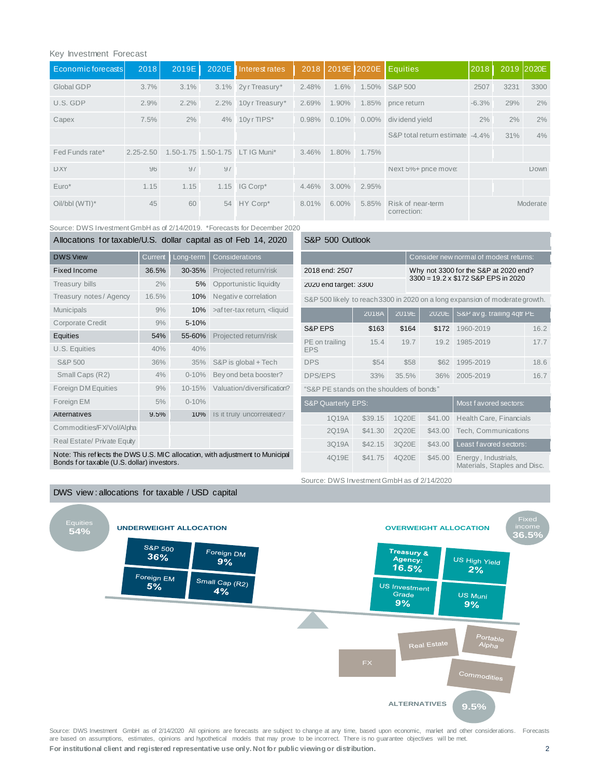## Key Investment Forecast

| Economic forecasts | 2018          | 2019E |    | 2020E Interest rates            | 2018     |          |          | 2019E 2020E Equities             | 2018    |      | 2019 2020E |
|--------------------|---------------|-------|----|---------------------------------|----------|----------|----------|----------------------------------|---------|------|------------|
| Global GDP         | 3.7%          | 3.1%  |    | 3.1% 2yr Treasury*              | 2.48%    | 1.6%     |          | 1.50% S&P 500                    | 2507    | 3231 | 3300       |
| U.S. GDP           | 2.9%          | 2.2%  |    | 2.2% 10y r Treasury*            | 2.69%    | 1.90%    |          | 1.85% price return               | $-6.3%$ | 29%  | 2%         |
| Capex              | 7.5%          | $2\%$ | 4% | 10yr TIPS*                      | 0.98%    | 0.10%    | $0.00\%$ | div idend yield                  | 2%      | 2%   | 2%         |
|                    |               |       |    |                                 |          |          |          | S&P total return estimate -4.4%  |         | 31%  | 4%         |
| Fed Funds rate*    | $2.25 - 2.50$ |       |    | 1.50-1.75 1.50-1.75 LT IG Muni* | $3.46\%$ | 1.80%    | 1.75%    |                                  |         |      |            |
| <b>DXY</b>         | 96            | 97    | 97 |                                 |          |          |          | Next 5%+ price move:             |         |      | Down       |
| $Euro*$            | 1.15          | 1.15  |    | 1.15 IG Corp*                   | 4.46%    | $3.00\%$ | 2.95%    |                                  |         |      |            |
| Oil/bbl (WTI)*     | 45            | 60    |    | 54 HY Corp*                     | 8.01%    | $6.00\%$ | 5.85%    | Risk of near-term<br>correction: |         |      | Moderate   |

Source: DWS Investment GmbH as of 2/14/2019. \*Forecasts for December 2020

| Allocations for taxable/U.S. dollar capital as of Feb 14, 2020                |         |           |                                                                                                                                                                | S&P 500 Outlook                           |         |                  |                                                                              |                                        |      |  |  |  |  |
|-------------------------------------------------------------------------------|---------|-----------|----------------------------------------------------------------------------------------------------------------------------------------------------------------|-------------------------------------------|---------|------------------|------------------------------------------------------------------------------|----------------------------------------|------|--|--|--|--|
| <b>DWS View</b>                                                               | Current | Long-term | Considerations                                                                                                                                                 |                                           |         |                  |                                                                              | Consider new normal of modest returns: |      |  |  |  |  |
| <b>Fixed Income</b>                                                           | 36.5%   | 30-35%    | Projected return/risk                                                                                                                                          | 2018 end: 2507                            |         |                  | Why not 3300 for the S&P at 2020 end?<br>3300 = 19.2 x \$172 S&P EPS in 2020 |                                        |      |  |  |  |  |
| Treasury bills                                                                | 2%      | 5%        | Opportunistic liquidity                                                                                                                                        | 2020 end target: 3300                     |         |                  |                                                                              |                                        |      |  |  |  |  |
| Treasury notes / Agency                                                       | 16.5%   | 10%       | Negative correlation                                                                                                                                           |                                           |         |                  | S&P 500 likely to reach 3300 in 2020 on a long expansion of moderate growth. |                                        |      |  |  |  |  |
| <b>Municipals</b>                                                             | 9%      | 10%       | >af ter-tax return, <liquid< td=""><td></td><td>2018A</td><td>2019<b>E</b></td><td>2020<b>E</b></td><td>S&amp;P av g. trailing 4qtr PE</td><td></td></liquid<> |                                           | 2018A   | 2019 <b>E</b>    | 2020 <b>E</b>                                                                | S&P av g. trailing 4qtr PE             |      |  |  |  |  |
| Corporate Credit                                                              | 9%      | 5-10%     |                                                                                                                                                                | S&P EPS                                   | \$163   | \$164            | \$172                                                                        | 1960-2019                              | 16.2 |  |  |  |  |
| Equities                                                                      | 54%     | 55-60%    | Projected return/risk                                                                                                                                          | PE on trailing                            | 15.4    | 19.7             | 19.2                                                                         | 1985-2019                              | 17.7 |  |  |  |  |
| U.S. Equities                                                                 | 40%     | 40%       |                                                                                                                                                                | <b>EPS</b>                                |         |                  |                                                                              |                                        |      |  |  |  |  |
| S&P 500                                                                       | 36%     | 35%       | S&P is global + Tech                                                                                                                                           | <b>DPS</b>                                | \$54    | \$58             | \$62                                                                         | 1995-2019                              | 18.6 |  |  |  |  |
| Small Caps (R2)                                                               | 4%      | $0 - 10%$ | Bey ond beta booster?                                                                                                                                          | <b>DPS/EPS</b>                            | 33%     | 35.5%            | 36%                                                                          | 2005-2019                              | 16.7 |  |  |  |  |
| Foreign DM Equities                                                           | 9%      | 10-15%    | Valuation/diversification?                                                                                                                                     | "S&P PE stands on the shoulders of bonds" |         |                  |                                                                              |                                        |      |  |  |  |  |
| Foreign EM                                                                    | 5%      | $0 - 10%$ |                                                                                                                                                                | <b>S&amp;P Quarterly EPS:</b>             |         |                  |                                                                              | Most f avored sectors:                 |      |  |  |  |  |
| Alternatives                                                                  | 9.5%    | 10%       | Is it truly uncorrelated?                                                                                                                                      | 1Q19A                                     | \$39.15 | 1Q20E            | \$41.00                                                                      | Health Care, Financials                |      |  |  |  |  |
| Commodities/FX/Vol/Alpha                                                      |         |           |                                                                                                                                                                | 2Q19A                                     | \$41.30 | 2Q20E            | \$43.00                                                                      | Tech, Communications                   |      |  |  |  |  |
| Real Estate/ Private Equity                                                   |         |           |                                                                                                                                                                | 3Q19A                                     | \$42.15 | 3Q20E<br>\$43.00 |                                                                              | Least favored sectors:                 |      |  |  |  |  |
| Note: This reflects the DWS U.S. MIC allocation, with adjustment to Municipal |         |           |                                                                                                                                                                | 4Q19E                                     | \$41.75 | 4Q20E            | \$45.00                                                                      | Energy, Industrials,                   |      |  |  |  |  |

Note: This ref lects the DWS U.S. MIC allocation, with adjustment to Municipal Bonds f or taxable (U.S. dollar) investors.



**For institutional client and registered representative use only. Not for public viewing or distribution.** 2 Source: DWS Investment GmbH as of 2/14/2020 All opinions are forecasts are subject to change at any time, based upon economic, market and other considerations. Forecasts are based on assumptions, estimates, opinions and hypothetical models that may prove to be incorrect. There is no guarantee objectives will be met.

Materials, Staples and Disc.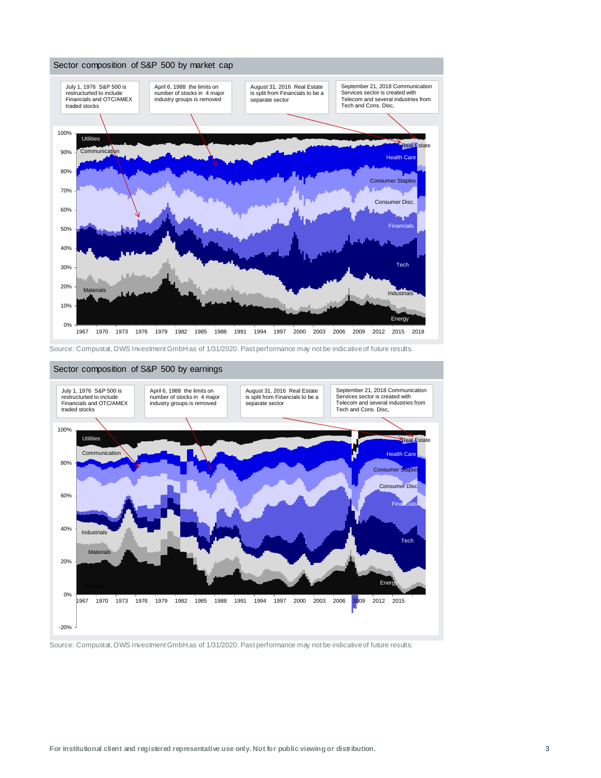

Source: Compustat, DWS Investment GmbH as of 1/31/2020. Past performance may not be indicative of future results.



#### Sector composition of S&P 500 by earnings

Source: Compustat, DWS Investment GmbH as of 1/31/2020. Past performance may not be indicative of future results.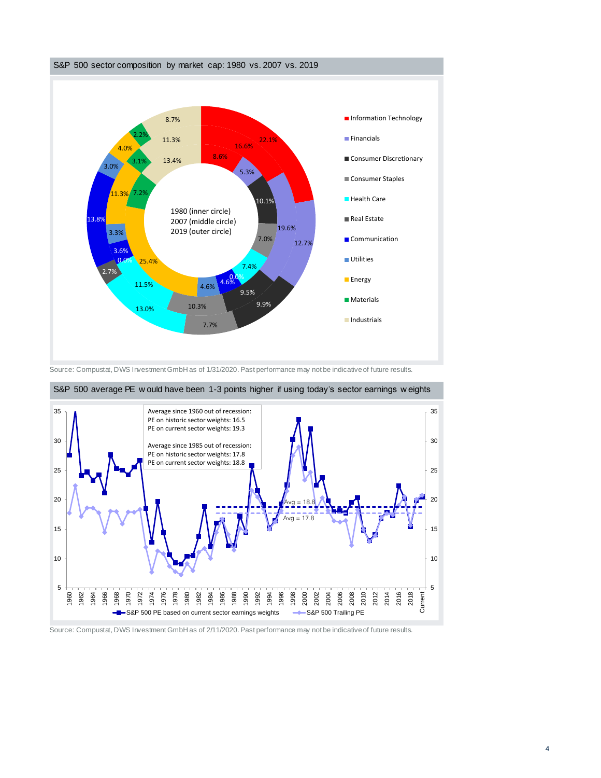

Source: Compustat, DWS Investment GmbH as of 1/31/2020. Past performance may not be indicative of future results.



S&P 500 average PE w ould have been 1-3 points higher if using today's sector earnings w eights

Source: Compustat, DWS Investment GmbH as of 2/11/2020. Past performance may not be indicative of future results.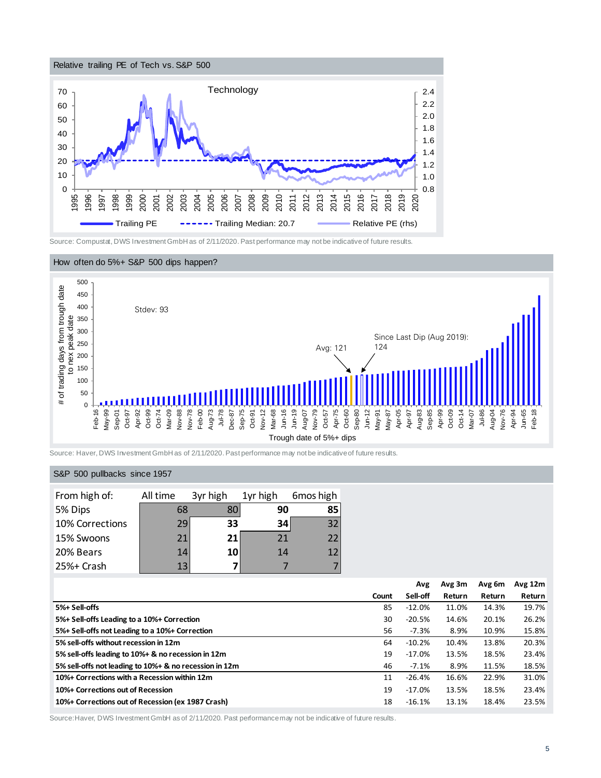

Source: Compustat, DWS Investment GmbH as of 2/11/2020. Past performance may not be indicative of future results.





Source: Haver, DWS Investment GmbH as of 2/11/2020. Past performance may not be indicative of future results.

## S&P 500 pullbacks since 1957

| From high of:   | All time | 3yr high | 1yr high | 6mos high       |
|-----------------|----------|----------|----------|-----------------|
| 5% Dips         | 68       | 80       | 90       | 85              |
| 10% Corrections | 29       | 33       | 34       | 32 <sub>1</sub> |
| 15% Swoons      | 21       | 21       | 21       | 22              |
| 20% Bears       | 14       | 10       | 14       | $\mathbf{12}$   |
| 25%+ Crash      | 13       |          |          |                 |

|                                                        |       | Avg      | Avg 3m | Avg 6m | Avg $12m$ |
|--------------------------------------------------------|-------|----------|--------|--------|-----------|
|                                                        | Count | Sell-off | Return | Return | Return    |
| 5%+ Sell-offs                                          | 85    | $-12.0%$ | 11.0%  | 14.3%  | 19.7%     |
| 5%+ Sell-offs Leading to a 10%+ Correction             | 30    | $-20.5%$ | 14.6%  | 20.1%  | 26.2%     |
| 5%+ Sell-offs not Leading to a 10%+ Correction         | 56    | $-7.3%$  | 8.9%   | 10.9%  | 15.8%     |
| 5% sell-offs without recession in 12m                  | 64    | $-10.2%$ | 10.4%  | 13.8%  | 20.3%     |
| 5% sell-offs leading to 10%+ & no recession in 12m     | 19    | $-17.0%$ | 13.5%  | 18.5%  | 23.4%     |
| 5% sell-offs not leading to 10%+ & no recession in 12m | 46    | $-7.1%$  | 8.9%   | 11.5%  | 18.5%     |
| 10%+ Corrections with a Recession within 12m           | 11    | $-26.4%$ | 16.6%  | 22.9%  | 31.0%     |
| 10%+ Corrections out of Recession                      | 19    | $-17.0%$ | 13.5%  | 18.5%  | 23.4%     |
| 10%+ Corrections out of Recession (ex 1987 Crash)      | 18    | $-16.1%$ | 13.1%  | 18.4%  | 23.5%     |

Source:Haver, DWS Investment GmbH as of 2/11/2020. Past performance may not be indicative of future results.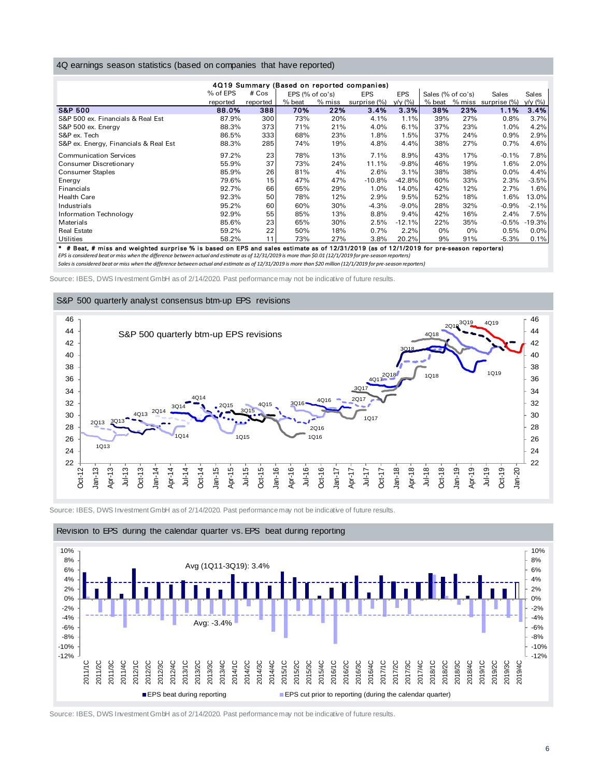#### 4Q earnings season statistics (based on companies that have reported)

| 4Q earnings season statistics (based on companies that have reported) |          |          |                 |          |                                            |            |                   |       |                     |          |  |  |  |
|-----------------------------------------------------------------------|----------|----------|-----------------|----------|--------------------------------------------|------------|-------------------|-------|---------------------|----------|--|--|--|
|                                                                       |          |          |                 |          | 4Q19 Summary (Based on reported companies) |            |                   |       |                     |          |  |  |  |
|                                                                       | % of EPS | $#$ Cos  | EPS (% of co's) |          | <b>EPS</b>                                 | <b>EPS</b> | Sales (% of co's) |       | Sales               | Sales    |  |  |  |
|                                                                       | reported | reported | % beat          | $%$ miss | surprise (%)                               | y/y (%)    | % beat            |       | % miss surprise (%) | y/y (%)  |  |  |  |
| <b>S&amp;P 500</b>                                                    | 88.0%    | 388      | 70%             | 22%      | 3.4%                                       | 3.3%       | 38%               | 23%   | 1.1%                | 3.4%     |  |  |  |
| S&P 500 ex. Financials & Real Est                                     | 87.9%    | 300      | 73%             | 20%      | 4.1%                                       | 1.1%       | 39%               | 27%   | 0.8%                | 3.7%     |  |  |  |
| S&P 500 ex. Energy                                                    | 88.3%    | 373      | 71%             | 21%      | 4.0%                                       | 6.1%       | 37%               | 23%   | 1.0%                | 4.2%     |  |  |  |
| S&P ex. Tech                                                          | 86.5%    | 333      | 68%             | 23%      | 1.8%                                       | 1.5%       | 37%               | 24%   | 0.9%                | 2.9%     |  |  |  |
| S&P ex. Energy, Financials & Real Est                                 | 88.3%    | 285      | 74%             | 19%      | 4.8%                                       | 4.4%       | 38%               | 27%   | 0.7%                | 4.6%     |  |  |  |
| <b>Communication Services</b>                                         | 97.2%    | 23       | 78%             | 13%      | 7.1%                                       | 8.9%       | 43%               | 17%   | $-0.1\%$            | 7.8%     |  |  |  |
| Consumer Discretionary                                                | 55.9%    | 37       | 73%             | 24%      | 11.1%                                      | $-9.8%$    | 46%               | 19%   | 1.6%                | 2.0%     |  |  |  |
| <b>Consumer Staples</b>                                               | 85.9%    | 26       | 81%             | 4%       | 2.6%                                       | 3.1%       | 38%               | 38%   | $0.0\%$             | 4.4%     |  |  |  |
| Energy                                                                | 79.6%    | 15       | 47%             | 47%      | $-10.8%$                                   | $-42.8%$   | 60%               | 33%   | 2.3%                | $-3.5%$  |  |  |  |
| <b>Financials</b>                                                     | 92.7%    | 66       | 65%             | 29%      | 1.0%                                       | 14.0%      | 42%               | 12%   | 2.7%                | 1.6%     |  |  |  |
| <b>Health Care</b>                                                    | 92.3%    | 50       | 78%             | 12%      | 2.9%                                       | 9.5%       | 52%               | 18%   | 1.6%                | 13.0%    |  |  |  |
| Industrials                                                           | 95.2%    | 60       | 60%             | 30%      | $-4.3%$                                    | $-9.0%$    | 28%               | 32%   | $-0.9%$             | $-2.1%$  |  |  |  |
| Information Technology                                                | 92.9%    | 55       | 85%             | 13%      | 8.8%                                       | 9.4%       | 42%               | 16%   | 2.4%                | 7.5%     |  |  |  |
| Materials                                                             | 85.6%    | 23       | 65%             | 30%      | 2.5%                                       | $-12.1%$   | 22%               | 35%   | $-0.5%$             | $-19.3%$ |  |  |  |
| <b>Real Estate</b>                                                    | 59.2%    | 22       | 50%             | 18%      | 0.7%                                       | 2.2%       | 0%                | $0\%$ | 0.5%                | $0.0\%$  |  |  |  |
| Utilities                                                             | 58.2%    | 11       | 73%             | 27%      | 3.8%                                       | 20.2%      | 9%                | 91%   | $-5.3%$             | 0.1%     |  |  |  |

\* # Beat, # miss and weighted surprise % is based on EPS and sales estimate as of 12/31/2019 (as of 12/1/2019 for pre-season reporters)

*EPS is considered beat or miss when the difference between actual and estimate as of 12/31/2019 is more than \$0.01 (12/1/2019 for pre-season reporters)*

*Sales is considered beat or miss when the difference between actual and estimate as of 12/31/2019 is more than \$20 million (12/1/2019 for pre-season reporters)*

Source: IBES, DWS Investment GmbH as of 2/14/2020. Past performance may not be indicative of future results.

#### S&P 500 quarterly analyst consensus btm-up EPS revisions



Source: IBES, DWS Investment GmbH as of  $2/14/2020$ . Past performance may not be indicative of future results.



#### Revision to EPS during the calendar quarter vs. EPS beat during reporting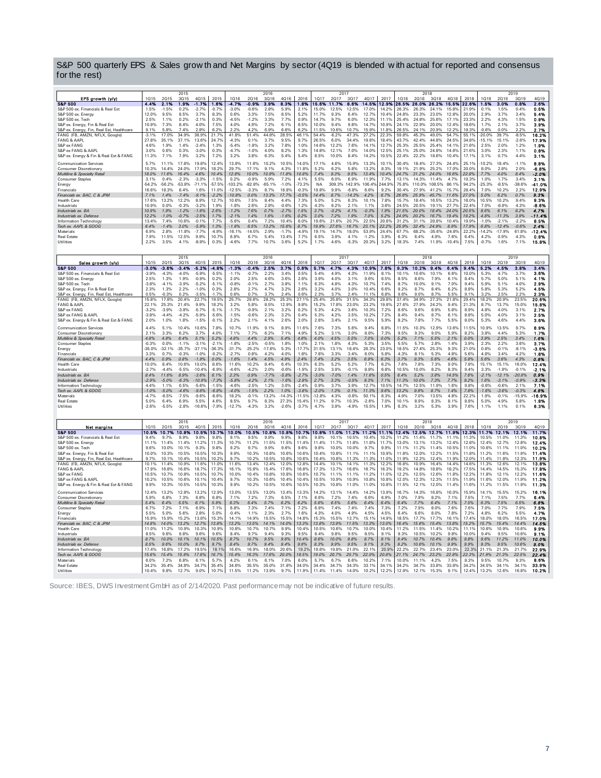| S&P 500 quarterly EPS & Sales grow th and Net Margins by sector (4Q19 is blended with actual for reported and consensus<br>for the rest) |                    |                    |                    |                     |                    |                    |                    |                |                |                    |                               |                |                     |                |                |                         |                      |                |                |                |                    |                    |                    |                |
|------------------------------------------------------------------------------------------------------------------------------------------|--------------------|--------------------|--------------------|---------------------|--------------------|--------------------|--------------------|----------------|----------------|--------------------|-------------------------------|----------------|---------------------|----------------|----------------|-------------------------|----------------------|----------------|----------------|----------------|--------------------|--------------------|--------------------|----------------|
|                                                                                                                                          |                    |                    |                    |                     |                    |                    |                    |                |                |                    |                               |                |                     |                |                |                         |                      |                |                |                |                    |                    |                    |                |
| EPS growth (y/y)                                                                                                                         | 1015               | 2015               | 2015<br>3015       | 4015                | 2015               | 1016               | 2016               | 2016<br>3016   | 4016           | 2016               | 1017                          | 2017<br>2017   | 3017                | 4017           | 2017           | 1018                    | 2018<br>2018         | 3018           | 4018           | 2018           | 1019               | 2019               | 2019<br>3019       | 4019           |
| <b>S&amp;P 500</b>                                                                                                                       | 4.4%               | 2.1%               | 1.9%               | -1.7%               | 1.8%               | -4.7%              | -0.9%              | 3.9%           | 8.3%           | 1.8%               | 15.6%                         | 11.7%          | 8.6%                | 14.5%          | 12.9%          | 26.5%                   | 28.0%                | 26.2%          | 15.5%          | 22.6%          | 1.5%               | 3.0%               | 0.8%               | 2.6%           |
| S&P 500 ex. Financials & Real Est                                                                                                        | 1.5%               | $-1.5%$            | 0.2%               | $-2.7%$             | $-0.7%$            | $-3.0%$            | $-0.6%$            | 2.8%           | 5.9%           | 2.1%               | 15.0%                         | 12.5%          | 12.5%               | 17.0%          | 14.2%          | 26.3%                   | 26.3%                | 24.1%          | 15.8%          | 21.9%          | 0.1%               | 1.5%               | 0.4%               | 0.5%           |
| S&P 500 ex. Energy<br>S&P 500 ex. Tech                                                                                                   | 12.0%<br>2.5%      | 9.5%<br>1.1%       | 8.5%<br>0.2%       | 3.7%<br>$-2.1%$     | 8.3%<br>0.3%       | 0.6%<br>$-4.5%$    | 3.3%<br>$-1.2%$    | 7.5%<br>3.3%   | 8.5%<br>7.7%   | 5.2%<br>0.9%       | 11.7%<br>14.7%                | 9.3%<br>9.7%   | 6.4%<br>6.0%        | 12.7%<br>12.3% | 10.4%<br>11.1% | 24.8%<br>25.4%          | 23.3%<br>24.8%       | 23.0%<br>25.6% | 12.8%<br>17.1% | 20.0%<br>23.3% | 2.9%<br>2.2%       | 3.7%<br>4.3%       | 3.4%<br>1.5%       | 5.4%<br>0.9%   |
| S&P ex. Energy, Fin & Real Est                                                                                                           | 10.9%              | 7.3%               | 8.4%               | 4.0%                | 7.5%               | 4.0%               | 4.9%               | 7.2%           | 6.1%           | 6.5%               | 10.0%                         | 9.4%           | 9.8%                | 14.7%          | 10.9%          | 24.1%                   | 22.9%                | 20.0%          | 12.4%          | 18.6%          | 1.7%               | 2.1%               | 3.7%               | 3.9%           |
| S&P ex. Energy, Fin, Real Est, Healthcare                                                                                                | 9.1%               | 5.8%               | 7.4%               | 2.8%                | 6.2%               | 2.2%               | 4.2%               | 6.9%           | 6.6%           | 6.2%               | 11.5%                         | 10.6%          | 10.7%               | 15.9%          | 118%           | 26.5%                   | 24.1%                | 20.9%          | 12.2%          | 19.3%          | $-0.6%$            | 0.0%               | 2.2%               | 2.7%           |
| FANG (FB, AMZN, NFLX, Google)                                                                                                            | $-3.1%$            | 17.0%              | 34.9%              | 36.9%               | 21.7%              | 41.8%              | 51.4%              | 44.8%          | 28.5%          | 46.1%              | 54.4%                         | $-6.2%$        | 47.3%               | 27.2%          | 22.3%          | 59.8%                   | 45.3%                | 49.0%          | 54.7%          | 55.1%          | $-20.0\%$          | 39.7%              | $-8.5%$            | 16.2%          |
| <b>FANG &amp; AAPL</b>                                                                                                                   | 27.8%<br>4.6%      | 35.1%<br>1.9%      | 37.1%<br>1.4%      | 13.6%<br>$-2.4%$    | 24.7%              | $-4.3%$<br>$-5.4%$ | 0.1%<br>$-1.8%$    | 3.7%<br>3.2%   | 9.5%<br>7.8%   | 9.7%<br>1.0%       | 26.5%<br>14.6%                | 6.0%<br>12.2%  | 34.4%<br>7.6%       | 19.6%<br>14.1% | 18.4%<br>12.7% | 43.7%<br>25.3%          | 42.4%<br>25.5%       | 44.8%<br>25.4% | 24.5%<br>14.1% | 34.8%<br>21.6% | $-15.1%$<br>2.5%   | 15.1%<br>2.0%      | $-2.6%$<br>1.2%    | 17.9%<br>1.9%  |
| S&P ex FANG<br>S&P ex FANG & AAPL                                                                                                        | 3.0%               | 0.6%               | 0.3%               | $-3.0%$             | 1.3%<br>0.3%       | $-4.7%$            | $-1.0%$            | 4.0%           | 8.2%           | 1.3%               | 14.8%                         | 12.1%          | 7.0%                | 14.0%          | 12.5%          | 25.1%                   | 25.0%                | 24.8%          | 14.6%          | 21.6%          | 3.0%               | 2.3%               | 1.1%               | 0.8%           |
| S&P ex. Energy & Fin & Real Est & FANG                                                                                                   | 11.3%              | 7.1%               | 7.9%               | 3.2%                | 7.2%               | 3.2%               | 3.8%               | 6.3%           | 5.4%           | 5.4%               | 8.5%                          | 10.0%          | 8.4%                | 14.2%          | 10.5%          | 22.4%                   | 22.2%                | 18.6%          | 10.4%          | 17.1%          | 3.1%               | 0.7%               | 4.4%               | 3.1%           |
| <b>Communication Services</b>                                                                                                            | 5.7%               | 11.1%              | 17.8%              | 19.8%               | 12.4%              | 13.9%              | 11.6%              | 10.2%          | 10.5%          | 14.0%              | 17.1%                         | 4.6%           | 15.9%               | 13.3%          | 10.1%          | 30.4%                   | 18.4%                | 27.3%          | 24.4%          | 25.1%          | 10.2%              | 18.4%              | $-1.1%$            | 8.8%           |
| Consumer Discretionary                                                                                                                   | 10.3%              | 14.4%              | 24.0%              | 17.9%               | 18.2%              | 29.7%              | 17.1%              | 9.1%           | 4.3%           | 11.8%              | 5.2%                          | 6.2%           | 5.8%                | 13.2%          | 8.3%           | 19.1%                   | 21.9%                | 25.2%          | 17.0%          | 20.0%          | 8.0%               | 2.8%               | 2.0%               | $-6.8%$        |
| Multiline & Specialty Retail                                                                                                             | 18.0%              | 11.6%              | 16.4%              | 4.6%                | 10.4%              | 12.8%              | 10.0%              | 10.9%          | 11.8%          | 10.8%              | 7.4%                          | 9.3%           | 9.5%                | 13.4%          | 10.4%          | 24.7%                   | 31.2%                | 24.0%          | 16.6%          | 22.8%          | 7.7%               | 4.0%               | 8.4%               | $-2.0%$        |
| <b>Consumer Staples</b>                                                                                                                  | 3.1%               | 0.4%               | $-2.3%$            | $-3.3%$             | $-1.5%$            | 0.2%               | $-0.9%$            | 5.9%           | 7.2%           | 4.1%               | 5.5%                          | 6.0%           | 6.9%                | 11.9%          | 7.7%           | 13.1%                   | 14.3%                | 11.4%          | 4.7%           | 10.3%          | 1.0%               | 1.7%               | 3.4%               | 3.1%           |
| Energy                                                                                                                                   | $-54.2%$           | $-56.2%$           | $-53.8%$           | $-71.1%$            | $-57.5%$           | $-103.2%$          | $-82.8%$           | $-65.1%$       | $-1.0%$        | $-73.3%$           | NA.                           | 309.3% 142.9%  |                     | 106.4%         | 244.9%         | 75.8%                   | 110.0%               | 108.5%         | 86.1%          | 94.2%          | $-25.3%$           | $-8.5%$            | $-38.6%$           | -41.09         |
| Financials<br>Financials ex. BAC, C & JPM                                                                                                | 16.6%<br>7.1%      | 18.3%<br>1.4%      | 8.4%<br>7.4%       | 1.6%<br>$-9.1%$     | 11.0%<br>$-2.2%$   | $-12.5%$<br>10.8%  | $-3.3%$<br>0.0%    | 8.7%<br>13.3%  | 18.8%<br>17.7% | $-0.3%$<br>$-0.5%$ | 19.8%<br>14.4%                | 9.9%<br>8.7%   | $-6.8%$<br>$-14.3%$ | 6.6%<br>4.2%   | 9.2%<br>6.7%   | 30.4%<br>26.6%          | 27.9%<br>25.9%       | 41.2%<br>45.7% | 15.7%<br>11.6% | 28.4%<br>27.0% | 7.0%<br>5.0%       | 10.2%<br>6.2%      | 2.2%<br>0.7%       | 12.9%<br>9.3%  |
| <b>Health Care</b>                                                                                                                       | 17.6%              | 13.2%              | 12.2%              | 8.9%                | 12.7%              | 10.6%              | 7.5%               | 8.4%           | 4.4%           | 7.3%               | 5.0%                          | 5.2%           | 6.3%                | 10.1%          | 7.8%           | 15.7%                   | 18.4%                | 16.5%          | 13.2%          | 16.0%          | 10.5%              | 10.2%              | 9.4%               | 9.3%           |
| Industrials                                                                                                                              | 10.9%              | 0.0%               | $-0.3%$            | $-3.2%$             | 1.9%               | $-1.8%$            | 2.6%               | 2.8%           | $-0.6%$        | 1.2%               | 4.3%                          | 6.2%           | 21%                 | 1 1%           | 3.6%           | 24.5%                   | 20.5%                | 19.1%          | 27 7%          | 22 4%          | 7.0%               | $-8.9%$            | 4.3%               | $-8.6%$        |
| Industrials ex. BA                                                                                                                       | 10.9%              | 1.9%               | $-1.2%$            | $-1.6%$             | 2.6%               | $-1.2%$            | 7.6%               | 0.7%           | $-2.7%$        | 1.5%               | 3.7%                          | $-0.2%$        | 4.1%                | $-0.3%$        | 1.9%           | 21.5%                   | 20.0%                | 18.4%          | 24.0%          | 20.5%          | 8.6%               | 6.1%               | 8.2%               | 4.7%           |
| Industrials ex. Defense                                                                                                                  | 12.2%              | $-1.0%$            | $-0.7%$            | $-3.5%$             | 1.7%               | $-2.1%$            | 1.4%               | 1.6%           | $-1.6%$        | 0.2%               | 3.0%                          | 7.2%           | 1.9%                | 7.0%           | 5.2%           | 24.9%                   | 20.2%                | 16.7%          | 19.4%          | 19.2%          | 4.8%               | $-11.3%$           | 3.9%               | 11.4%          |
| Information Technology<br>Tech ex. AAPL & GOOG                                                                                           | 13.4%<br>6.4%      | 7.4%<br>1.4%       | 10.6%<br>3.0%      | $-0.1%$<br>$-5.9\%$ | 7.7%<br>1.3%       | $-5.6%$<br>$-1.8%$ | 0.4%<br>6.5%       | 7.2%<br>13.2%  | 10.4%<br>15.6% | 6.0%<br>8.7%       | 19.6%<br>19.9%                | 21.6%<br>27.6% | 20.7%<br>16.7%      | 22.5%<br>23.1% | 20.6%<br>22.2% | 31.2%<br>25.9%          | 31.1%<br>32.4%       | 28.8%<br>24.9% | 10.4%<br>8.9%  | 19.9%<br>17.9% | $-1.0%$<br>6.8%    | $-2.1%$<br>12.4%   | $-2.2%$<br>$-0.6%$ | 8.5%<br>2.4%   |
| Materials                                                                                                                                | 6.9%               | 2.8%               | $-11.8%$           | $-7.7%$             | $-4.9%$            | $-16.1%$           | $-14.5%$           | 2.9%           | $-1.7%$        | $-4.9%$            | 19.1%                         | 14.7%          | 18.0%               | 53.9%          | 24.4%          | 67.7%                   | 68.2%                | $-35.6%$       | $-24.8%$       | 22.2%          | $-14.2%$           | $-17.9%$           | 61.8%              | 12.4%          |
| Real Estate                                                                                                                              | 7.9%               | 11.5%              | 12.5%              | 9.9%                | 10.7%              | 6.8%               | 6.7%               | 5.4%           | 13.4%          | 7.7%               | 6.5%                          | 3.9%           | 4.1%                | $-1.2%$        | 3.9%           | 6.3%                    | 6.4%                 | 4.9%           | 7.6%           | 6.4%           | 4.2%               | 0.9%               | 4.3%               | 0.8%           |
| Utilities                                                                                                                                | 2.2%               | 3.5%               | 4.1%               | $-8.9%$             | 0.3%               | $-4.6%$            | 7.7%               | 10.7%          | 3.6%           | 5.2%               | 1.7%                          | 4.6%           | $-5.3%$             | 20.3%          | 3.2%           | 18.3%                   | 7.4%                 | 11.9%          | $-10.4%$       | 7.5%           | $-0.7%$            | 1.6%               | 7.1%               | 15.8%          |
|                                                                                                                                          |                    |                    |                    |                     |                    |                    |                    |                |                |                    |                               |                |                     |                |                |                         |                      |                |                |                |                    |                    |                    |                |
|                                                                                                                                          |                    |                    | 2015               |                     |                    |                    |                    | 2016           |                |                    |                               | 2017           |                     |                |                |                         | 2018                 |                |                |                |                    |                    | 2019               |                |
| Sales growth (y/y)                                                                                                                       | 1015               | 2015               | 3015               | 4015                | 2015               | 1016               | 2016               | 3016           | 4016           | 2016               | 1017                          | 2017           | 3017                | 4017           | 2017           | 1018                    | 2018                 | 3018           | 4018           | 2018           | 1019               | 2019               | 3019               | 4019           |
| <b>S&amp;P 500</b>                                                                                                                       | -3.0%              | $-3.6%$            | $-3.4%$            | -5.2%               | -4.8%              | -1.3%              | $-0.4%$            | 2.5%           | 3.7%           | 0.8%               | 5.7%                          | 4.7%           | 4.3%                | 10.9%          | 7.8%           | 9.3%                    | 10.2%                | 9.4%           | 6.4%           | 9.4%           | 5.2%               | 4.5%               | 3.8%               | 3.4%           |
| S&P 500 ex. Financials & Real Est<br>S&P 500 ex. Energy                                                                                  | $-3.9%$<br>2.5%    | $-4.3%$<br>1.3%    | $-4.0%$<br>1.9%    | $-5.9%$<br>$-0.9%$  | $-5.5%$            | $-1.1%$<br>2.0%    | $-0.7%$<br>2.5%    | 2.2%           | 3.4%<br>3.6%   | 0.5%<br>2.6%       | 5.4%<br>3.9%                  | 4.9%<br>4.0%   | 4.3%<br>3.1%        | 11.9%<br>9.6%  | 8.1%           | 10.1%<br>8.5%           | 10.6%<br>8.6%        | 10.1%<br>7.9%  | 6.6%<br>6.1%   | 10.0%<br>8.4%  | 5.3%<br>5.7%       | 4.7%<br>5.0%       | 3.7%<br>5.1%       | 3.6%<br>4.1%   |
| S&P 500 ex. Tech                                                                                                                         | $-3.8%$            | $-4.1%$            | $-3.9%$            | $-5.2%$             | 0.2%<br>$-5.1%$    | $-0.8%$            | $-0.1%$            | 4.6%<br>2.7%   | 3.8%           | 1.1%               | 6.3%                          | 4.8%           | 4.3%                | 10.7%          | 6.5%<br>7.4%   | 8.7%                    | 10.0%                | 9.1%           | 7.0%           | 9.4%           | 5.9%               | 5.1%               | 4.0%               | 2.9%           |
| S&P ex. Energy, Fin & Real Est                                                                                                           | 2.3%               | 1.3%               | 2.2%               | $-1.0%$             | 0.3%               | 2.8%               | 2.7%               | 4.7%           | 3.2%           | 2.6%               | 3.2%                          | 4.0%           | 3.0%                | 10.4%          | 6.6%           | 9.2%                    | 8.7%                 | 8.4%           | 6.2%           | 8.8%           | 5.8%               | 5.3%               | 5.2%               | 4.5%           |
| S&P ex. Energy, Fin. Real Est. Healthcare                                                                                                | 0.5%               | $-0.3%$            | 0.2%               | $-3.5%$             | $-1.7%$            | 0.6%               | 0.7%               | 3.7%           | 2.4%           | 0.6%               | 2.3%                          | 3.7%           | 2.4%                | 11.1%          | 6.8%           | 9.6%                    | 9.0%                 | 8.7%           | 5.5%           | 9.1%           | 3.2%               | 2.5%               | 2.2%               | 2.3%           |
| FANG (FB, AMZN, NFLX, Google)                                                                                                            | 15.8%              | 17.8%              | 20.4%              | 22.7%               | 19.5%              | 25.7%              | 29.6%              | 28.2%          | 25.3%          | 27.1%              | 25.4%                         | 25.8%          | 31.5%               | 34.3%          | 29.8%          | 37.4%                   | 34.9%                | 27.3%          | 21.8%          | 29.4%          | 18.2%              | 20.9%              | 23.5%              | 20.6%          |
| <b>FANG &amp; AAPL</b>                                                                                                                   | 22.1%              | 25.3%              | 21.4%              | 9.9%                | 18.2%              | 3.2%               | 5.8%<br>$-0.9%$    | 8.5%           | 12.9%          | 9.8%               | 15.2%                         | 17.8%          | 23.0%               | 23.2%          | 19.8%          | 27.6%                   | 27.9%                | 24.2%          | 9.4%           | 21.3%          | 8.7%               | 13.7%              | 15.0%              | 15.8%          |
| S&P ex FANG<br>S&P ex FANG & AAPL                                                                                                        | $-3.2%$<br>$-3.8%$ | $-3.9%$<br>$-4.4%$ | $-3.8%$<br>$-4.2%$ | $-5.7%$<br>$-5.9%$  | $-5.1%$<br>$-5.6%$ | $-1.7%$<br>$-1.5%$ | $-0.6%$            | 21%<br>2.3%    | 3.2%<br>3.2%   | 0.2%<br>0.4%       | 5.3%<br>5.3%                  | 4 2%<br>4.2%   | 3.6%<br>3.5%        | 10.3%<br>10.2% | 7.2%<br>7.2%   | 8.6%<br>8.4%            | 9.6%<br>9.4%         | 8.9%<br>8.7%   | 5.8%<br>6.1%   | 8.9%<br>8.8%   | 48%<br>5.0%        | 4.0%<br>4.0%       | 31%<br>3.1%        | 2.7%<br>2.5%   |
| S&P ex. Energy & Fin & Real Est & FANG                                                                                                   | 2.0%               | 1.0%               | 1.8%               | $-1.5%$             | $-0.1%$            | 2.2%               | 2.1%               | 4.1%           | 2.6%           | 2.0%               | 2.6%                          | 3.4%           | 2.1%                | 9.5%           | 5.9%           | 8.2%                    | 7.8%                 | 7.7%           | 5.5%           | 8.0%           | 5.3%               | 4.6%               | 4.4%               | 3.6%           |
| Communication Services                                                                                                                   | 4.4%               | 5.1%               | 10.4%              | 10.6%               | 7.8%               | 10.7%              | 11.9%              | 9.1%           | 8.9%           | 11.6%              | 7.6%                          | 7.3%           | 5.6%                | 9.4%           | 6.8%           | 11.5%                   | 10.3%                | 12.9%          | 13.6%          | 11.5%          | 10.9%              | 13.5%              | 9.7%               | 8.9%           |
| Consumer Discretionary                                                                                                                   | 2.1%               | 3.3%               | 6.2%               | 3.7%                | 4.0%               | 7.1%               | 7.7%               | 6.2%           | 7.1%           | 4.9%               | 5.2%                          | 3.1%           | 3.0%                | 8.8%           | 7.3%           | 9.5%                    | 9.3%                 | 9.0%           | 5.9%           | 8.2%           | 3.8%               | 4.4%               | 5.3%               | 1.7%           |
| Multiline & Specialty Retai                                                                                                              | 4.8%               | 4.8%               | 6.4%               | 5.1%                | 5.2%               | 4.8%               | 4.4%               | 2.9%           | 5.4%           | 4.6%               | 4.0%                          | 4.5%           | 5.5%                | 7.0%           | 0.0%           | 5.2%                    | 7.1%                 | 5.5%           | 2.1%           | 0.0%           | 3.9%               | 2.5%               | 3.4%               | 1.6%           |
| <b>Consumer Staples</b>                                                                                                                  | $-0.3%$            | 0.0%               | $-1.1%$            | $-3.1%$             | $-2.1%$            | $-1.8%$            | $-2.5%$            | $-0.5%$        | 1.8%           | 1.0%               | 2.1%                          | 1.8%           | 4.3%                | 5.3%           | 3.5%           | 5.5%                    | 5.7%                 | 2.8%           | 1.4%           | 3.9%           | 2.3%               | 2.2%               | 3.6%               | 3.7%           |
| Energy                                                                                                                                   | $-35.0%$           | $-32.1%$           | $-35.7%$           | $-37.1%$            | $-36.3%$           | $-31.7%$           | $-25.2%$           | $-17.6%$       | 5.3%           | $-17.7%$           | 31.5%                         | 13.1%          | 18.4%               | 26.3%          | 23.0%          | 18.5%                   | 27.4%                | 25.3%          | 9.3%           | 21.0%          | 0.8%               | $-0.1%$            | $-8.1%$            | -3.6%          |
| Financials<br>Financials ex. BAC, C & JPM                                                                                                | 3.3%<br>4.4%       | 0.7%<br>0.9%       | $-0.3%$<br>0.8%    | $-1.0%$<br>$-1.9%$  | $-0.2%$<br>0.0%    | $-2.7%$<br>$-1.6%$ | 0.8%<br>1.4%       | 4 2%<br>4.5%   | 4.0%<br>4.9%   | 1.8%<br>2.4%       | 7.6%<br>7.4%                  | 3.3%<br>3.2%   | 3.4%<br>3.5%        | 6.0%<br>6.9%   | 5.8%<br>6.3%   | 4.3%<br>3.7%            | 8.1%<br>9.3%         | 5.3%<br>5.6%   | 4.8%<br>4.6%   | 5.6%<br>5.8%   | 48%<br>5.6%        | 3.4%<br>3.6%       | 4.2%<br>4.3%       | 1.8%<br>0. B X |
| Health Care                                                                                                                              | 10.0%              | 8.4%               | 10.6%              | 10.0%               | 8.6%               | 11.6%              | 10.2%              | 8.4%           | 6.4%           | 10.3%              | 6.3%                          | 5.2%           | 5.2%                | 7.7%           | 6.2%           | 7.6%                    | 7.8%                 | 7.3%           | 9.0%           | 7.8%           | 15.1%              | 15.1%              | 16.0%              | 12.4%          |
| Industrials                                                                                                                              | $-2.7%$            | $-4.4%$            | $-5.5%$            | $-10.4%$            | $-6.9%$            | $-4.6%$            | $-4.2%$            | 2.0%           | $-0.6%$        | $-1.9%$            | 2.5%                          | 3.9%           | $-0.1%$             | 8.8%           | 6.8%           | 10.5%                   | 10.0%                | 8.2%           | 8.3%           | 9.4%           | 3.3%               | $-1.9%$            | $-0.1%$            | 2.1%           |
| Industrials ex. BA                                                                                                                       | 8.4%               | 11.6%              | 8.9%               | $-3.6%$             | 6.1%               | 2.3%               | 0.9%               | $-7.7%$        | $-5.8%$        | $-2.7%$            | $-3.0%$                       | $-7.0%$        | 1.4%                | 11.6%          | 0.5%           | 6.4%                    | 5.2%                 | 3.8%           | 14.5%          | 7.6%           | $-2.1%$            | $-12.1%$           | $-20.8%$           | 0.9%           |
| Industrials ex. Defense                                                                                                                  | $-2.9%$            | $-5.0%$            | $-6.3%$            | $-10.9%$            | $-7.3%$            | $-5.8%$            | $-4.2%$            | 2.1%           | $-1.6%$        | $-2.8%$            | 2.7%                          | 3.3%           | $-0.5%$             | 9.3%           | 7.1%           | 11.3%                   | 10.0%                | 7.3%           | 7.7%           | 9.2%           | 1.6%               | $-3.1%$            | $-0.9%$            | -3.3%          |
| Information Technology<br>Tech ex. AAPL & GOOG                                                                                           | 4.4%<br>$-1.0%$    | 1.1%<br>$-5.0%$    | 0.5%<br>4.6%       | $-5.6%$<br>$-9.8%$  | $-1.5%$<br>$-6.8%$ | $-4.6%$<br>$-4.0%$ | $-2.5%$<br>$-1.5%$ | 1.2%<br>2.2%   | 3.0%<br>1.0%   | $-2.4%$<br>$-3.8%$ | 0.9%<br>$-2.0%$               | 3.7%<br>1.3%   | 3.9%<br>0.1%        | 12.7%<br>11.3% | 10.5%<br>9.6%  | 14.7%<br>13.2%          | 12.5%<br>9.9%        | 11.9%<br>8.7%  | 1.6%<br>1.4%   | 9.8%<br>7.8%   | $-0.6%$<br>$-1.6%$ | $-0.6%$<br>$-3.6%$ | 2.1%<br>$-0.3%$    | 7.1%<br>4.8%   |
| Materials                                                                                                                                | $-4.7%$            | $-6.5%$            | $-7.5\%$           | $-9.6%$             | $-8.6%$            | 18.2%              | $-0.1%$            | 13.2%          | $-14.3%$       | $-11.5%$           | $-12.8%$                      | 4.3%           | $-0.8%$             | 50.1%          | 8.3%           | 4.9%                    | 7.0%                 | 13.5%          | 4.8%           | 22.29          | 1.9%               | $-0.1%$            | $-15.9%$           | -16.9%         |
| <b>Real Estate</b>                                                                                                                       | 5.0%               | 6.4%               | 6.9%               | 5.5%                | 4.6%               | 8.5%               | 9.7%               | 8.3%           | 27.3%          | 15.4%              | 11.2%                         | 9.7%           | 10.3%               | $-2.6%$        | 7.0%           | 10.1%                   | 8.9%                 | 8.3%           | 8.1%           | 8.8%           | 5.0%               | 4.9%               | 5.8%               | 1.8%           |
| Utilities                                                                                                                                | $-2.6%$            | $-5.5%$            | $-2.8%$            | $-16.6%$            | $-7.9%$            | $-12.7%$           | $-4.3%$            | 3.2%           | $-2.6%$        | $-3.7%$            | 4.7%                          | 3.9%           | $-4.9%$             | 15.5%          | 1.9%           | 6.3%                    | 3.2%                 | 5.3%           | 3.9%           | 7.6%           | 1.1%               | 1.1%               | 0.1%               | 6.3%           |
|                                                                                                                                          |                    |                    |                    |                     |                    |                    |                    |                |                |                    |                               |                |                     |                |                |                         |                      |                |                |                |                    |                    |                    |                |
|                                                                                                                                          |                    |                    | 2015               |                     |                    |                    |                    | 2016           |                |                    |                               | 2017           |                     |                |                |                         | 2018                 |                |                |                |                    |                    | 2019               |                |
| Net margins<br><b>S&amp;P 500</b>                                                                                                        | 1015               | 2015               | 3015               | 4015                | 2015               | 1016               | 2016               | 3016           | 4016           | 2016               | 1017                          | 2017           | 3017                | 4017           | 2017           | 1018                    | 2018                 | 3018           | 4018           | 2018           | 1019               | 2019               | 3019               | 4019           |
| S&P 500 ex. Financials & Real Est                                                                                                        | 10.5%<br>9.4%      | 10.7%<br>9.7%      | 10.8%<br>9.9%      | 10.5%<br>9.8%       | 10.7%<br>9.8%      | 10.0%<br>9.1%      | 10.5%<br>9.5%      | 10.8%<br>9.8%  | 10.8%<br>9.9%  | 10.7%<br>9.8%      | 10.8%<br>9.8%                 | 11.0%<br>10.1% | 11.2%<br>10.5%      | 11.2%<br>10.4% | 11.1%<br>10.2% | 12.4%<br>11.2%          | 12.5%<br>11.4%       | 12.7%<br>11.7% | 11.9%<br>11.1% | 12.3%<br>11.3% | 11.7%<br>10.5%     | 12.1%<br>11.0%     | 12.1%<br>11.3%     | 11.7%<br>10.8% |
| S&P 500 ex. Energy                                                                                                                       | 11.1%              | 11.4%              | 11.4%              | 11.2%               | 11.3%              | 10.7%              | 11.2%              | 11.5%          | 11.5%          | 11.4%              | 11.4%                         | 11.7%          | 11.8%               | 11.8%          | 11.7%          | 13.0%                   | 13.1%                | 13.2%          | 12.4%          | 12.8%          | 12.4%              | 12.7%              | 12.8%              | 12.4%          |
| S&P 500 ex. Tech                                                                                                                         | 9.6%               | 10.0%              | 10.1%              | 9.3%                | 9.8%               | 9.2%               | 9.7%               | 9.9%           | 9.6%           | 9.6%               | 9.8%                          | 10.0%          | 10.0%               | 9.7%           | 9.9%           | 11.1%                   | 11.2%                | 11.4%          | 10.5%          | 11.0%          | 10.6%              | 11.1%              | 11.0%              | 10.2%          |
| S&P ex. Energy, Fin & Real Est                                                                                                           | 10.0%              | 10.3%              | 10.5%              | 10.5%               | 10.3%              | 9.9%               | 10.3%              | 10.6%          | 10.6%          | 10.6%              | 10.4%                         | 10.8%          | 11.1%               | 11.1%          | 10.9%          | 11.8%                   | 12.0%                | 12.2%          | 11.5%          | 11.8%          | 11.2%              | 11.6%              | 11.9%              | 11.4%          |
| S&P ex. Energy. Fin. Real Est. Healthcare                                                                                                | 9 7%               | 10.1%              | 10.4%              | 10.5%               | 10.2%              | 9 7%               | 10.2%              | 10.5%          | 10.8%          | 10.6%              | 10.4%                         | 10.8%          | 11.3%               | 11.3%          | 11 0%          | 11.9%                   | 12.2%                | 12.4%          | 11.9%          | 12.0%          | 11.4%              | 11.8%              | 12.3%              | 11.9%          |
| FANG (FB, AMZN, NFLX, Google)<br><b>FANG &amp; AAPL</b>                                                                                  | 10.1%<br>17.9%     | 11.4%<br>16.8%     | 10.9%<br>16.6%     | 11.6%<br>18.7%      | 11.0%<br>17.3%     | 11.6%<br>16.1%     | 13.4%<br>15.6%     | 12.4%<br>15.4% | 12.0%<br>17.6% | 12.8%<br>16.8%     | 14.4%<br>17.3%                | 10.1%<br>13.7% | 14.1%<br>16.6%      | 11.3%<br>16.7% | 12.2%<br>16.3% | 16.8%<br>19.2%          | 10.9%<br>14.8%       | 16.4%<br>18.8% | 14.4%<br>18.2% | 14.6%<br>17.5% | 11.3%<br>14.4%     | 12.6%<br>14.5%     | 12.1%<br>15.3%     | 13.8%<br>17.8% |
| S&P ex FANG                                                                                                                              | 10.5%              | 10.7%              | 10.8%              | 10.5%               | 10.7%              | 10.0%              | 10.4%              | 10.8%          | 10.8%          | 10.6%              | 10.7%                         | 11.1%          | 11.1%               | 11.2%          | 11.0%          | 12.2%                   | 12.5%                | 12.6%          | 11.8%          | 12.2%          | 11.8%              | 12.1%              | 12.2%              | 11.6%          |
| S&P ex FANG & AAPL                                                                                                                       | 10.2%              | 10.5%              | 10.6%              | 10.1%               | 10.4%              | 9.7%               | 10.3%              | 10.6%          | 10.4%          | 10.4%              | 10.5%                         | 10.9%          | 10.9%               | 10.8%          | 10.8%          | 12.0%                   | 12.3%                | 12.3%          | 11.5%          | 11.9%          | 11.6%              | 12.0%              | 11.9%              | 11.2%          |
| S&P ex. Energy & Fin & Real Est & FANG                                                                                                   | 9.9%               | 10.3%              | 10.5%              | 10.5%               | 10.3%              | 9.9%               | 10.2%              | 10.5%          | 10.6%          | 10.5%              | 10.3%                         | 10.8%          | 11.0%               | 11.0%          | 10.8%          | 11.5%                   | 12.1%                | 12.0%          | 11.4%          | 11.6%          | 11.2%              | 11.5%              | 11.9%              | 11.3%          |
| <b>Communication Services</b>                                                                                                            | 12.4%              | 13.2%              | 12.8%              | 13.2%               | 12.9%              | 13.0%              | 13.5%              | 13.0%          | 13.4%          | 13.3%              | 14.2%                         | 13.1%          | 14.4%               | 14.2%          | 13.9%          | 16.7%                   | 14.3%                | 16.8%          | 16.0%          | 15.9%          | 14.1%              | 15.5%              | 15.2%              | 16.1%          |
| Consumer Discretionary                                                                                                                   | 5.9%               | 6.8%               | 7.3%               | 6.8%                | 6.8%               | 7.1%               | 7.2%               | 7.3%           | 6.5%           | 7.1%               | 6.6%                          | 7.2%           | 7.4%                | 6.6%           | 6.9%           | 7.0%                    | 7.9%                 | 8.2%           | 7.1%           | 7.5%           | 7.1%               | 7.5%               | 7.7%               | 6.4%           |
| Multiline & Specialty Retail                                                                                                             | 5.4%               | 6.4%               | 5.5%               | 6.1%                | 5.9%               | 6.3%               | 6.4%               | 5.7%           | 6.2%           | 6.2%               | 5.6%                          | 6.5%           | 5.6%                | 6.4%           | 6.4%           | 6.4%                    | 7.7%                 | 6.4%           | 7.1%           | 7.5%           | 6.3%               | 7.5%               | 6.5%               | 6.8%           |
| <b>Consumer Staples</b>                                                                                                                  | 6.7%               | 7.2%               | 7.1%               | 6.9%                | 7.1%               | 6.8%               | 7.3%               | 7.4%           | 7.1%           | 7.2%               | 6.9%                          | 7.4%           | 7.4%                | 7.4%           | 7.3%           | 7.2%                    | 7.9%                 | 8.0%           | 7.6%           | 7.6%           | 7.0%               | 7.7%               | 7.9%               | 7.5%           |
| Energy<br>Financials                                                                                                                     | 5.5%<br>15.9%      | 5.0%<br>15.9%      | 5.6%<br>15.2%      | 2.8%<br>13.8%       | 5.0%<br>15.3%      | $-0.4%$<br>14.1%   | 1.1%<br>14.9%      | 2.3%<br>15.5%  | 2.7%<br>15.5%  | 1.6%<br>14.8%      | 4.3%<br>15.3%                 | 4.0%<br>15.5%  | 4.9%<br>13.7%       | 4.5%<br>15.1%  | 4.5%<br>14.9%  | 6.4%<br>18.5%           | 6.6%<br>17.7%        | 8.0%<br>17.7%  | 7.8%<br>16.1%  | 7.2%<br>17.4%  | 4.8%<br>18.0%      | 6.2%<br>18.0%      | 5.5%<br>16.5%      | 4.7%<br>17.0%  |
| Financials ex. BAC. C & JPM                                                                                                              | 14.8%              | 14.0%              | 13.2%              | 12.7%               | 13.8%              | 13.2%              | 13.5%              | 14.1%          | 14.0%          | 13.3%              | 13.8%                         | 13.9%          | 11.5%               | 13.3%          | 13.0%          | 16.4%                   | 15.6%                | 15.4%          | 13.8%          | 15.2%          | 15.7%              | 15.4%              | 14.4%              | 14.5%          |
| Health Care                                                                                                                              | 11.0%              | 11.2%              | 10.9%              | 10.3%               | 10.9%              | 10.8%              | 10.7%              | 10.7%          | 9.9%           | 10.4%              | 10.5%                         | 10.6%          | 10.7%               | 10.0%          | 10.4%          | 11.2%                   | 11.5%                | 11.4%          | 10.2%          | 11.1%          | 10.6%              | 10.9%              | 10.6%              | 9.9%           |
| Industrials                                                                                                                              | 8.5%               | 9.6%               | 9.8%               | 9.6%                | 9.6%               | 8.4%               | 9.7%               | 94%            | 9.3%           | 9.5%               | 84%                           | 9.8%           | 9.5%                | 8.5%           | 9 1%           | 9.3%                    | 10.5%                | 10.2%          | 9.8%           | 10.0%          | 94%                | 9.5%               | 10.6%              | 9.1%           |
| Industrials ex. BA                                                                                                                       | 8.7%               | 10.0%              | 10.1%              | 10.1%               | 10.5%              | 8.7%               | 10.7%              | 9.5%           | 9.6%           | 10.4%              | 8.6%                          | 10.0%          | 9.8%                | 8.7%           | 9.1%           | 9.4%                    | 10.7%                | 10.4%          | 9.8%           | 9.8%           | 9.6%               | 11.2%              | 11.0%              | 10.0%          |
| Industrials ex. Defense<br>Information Technology                                                                                        | 8.5%<br>17.4%      | 9.6%<br>16.8%      | 10.0%<br>17.2%     | 9.7%<br>19.5%       | 9.7%<br>18.19      | 8.4%<br>16.6%      | 9.7%<br>16.9%      | 9.4%<br>18.0%  | 9.4%<br>20.6%  | 9.6%<br>19.2%      | 8.3%<br>19.6%                 | 9.9%<br>19.8%  | 9.5%<br>21.0%       | 9.1%<br>22.1%  | 9.3%<br>20.9%  | 9.2%<br>22.2%           | 10.6% 10.1%<br>22.7% | 23.4%          | 9.9%<br>23.0%  | 9.9%<br>22.3%  | 9.3%<br>21.1%      | 9.5%<br>21.3%      | 10.6%<br>21.7%     | 9.0%<br>22.9%  |
| Tech ex. AAPL & GOOG                                                                                                                     | 15.6%              | 15.4%              | 15.9%              | 17.6%               | 16.7%              | 15.4%              | 16.3%              | 17.6%          | 20.0%          | 18.5%              |                               | 19.0% 20.7%    | 20.7%               | 22.0%          | 20.8%          |                         | 21.1% 24.7% 23.2%    |                | 22.8%          | 22.3%          | 21.9%              | 21.3%              | 22.5%              | 22.4%          |
| Materials                                                                                                                                | 6.0%               | 7.2%               | 6.8%               | 6.1%                | 5.7%               | 4.2%               | 6.1%               | 6.1%           | 7.0%           | 6.0%               | 5.7%                          | 6.7%           | 6.6%                | 10.2%          | 7.1%           |                         | 10.0% 11.1%          | 4.2%           | 7.5%           | 8.3%           | 9.5%               | 10.7%              | 9.3%               | 8.6%           |
| Real Estate                                                                                                                              | 34.2%              | 35.4%              | 34.8%              | 34.7%               | 35.4%              | 34.6%              | 35.5%              | 35.0%          | 31.8%          | 34.0%              | 34.4%                         | 34.7%          | 34.3%               | 33.1%          | 34.1%          | 34.2%                   | 34.7% 33.8%          |                | 33.8%          | 34.2%          | 34.5%              | 34.1%              | 34.1%              | 33.9%          |
| Utilities                                                                                                                                | 10.4% 9.8%         |                    | 12.7%              | $9.0\%$             | 10.7%              | 11.5%              | 11.2% 13.9%        |                | 9.7%           |                    | 11.9% 11.4% 11.4% 14.0% 10.2% |                |                     |                |                | 12.2% 12.9% 12.1% 15.3% |                      |                | 9.1%           |                | 12 4% 13 2%        | 12.6%              | 16.8%              | 10.2%          |

Source: IBES, DWS Investment GmbH as of 2/14/2020. Past performance may not be indicative of future results.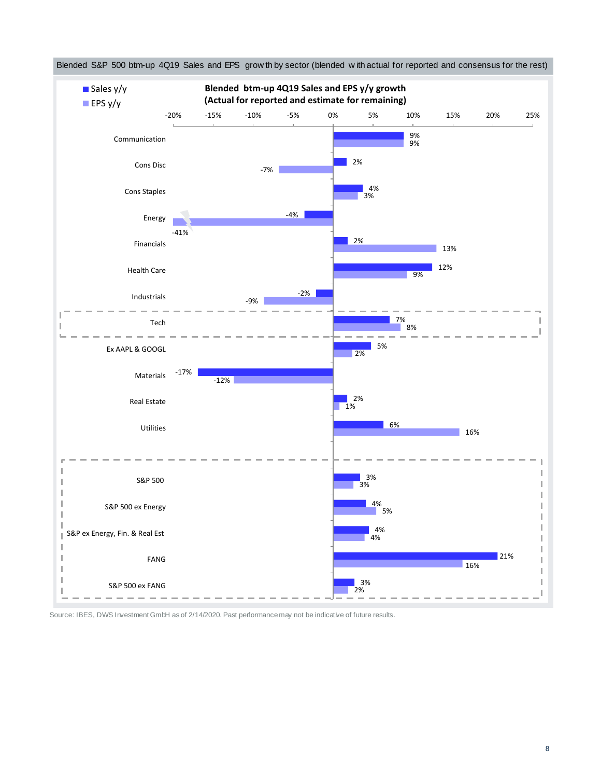

Source: IBES, DWS Investment GmbH as of 2/14/2020. Past performance may not be indicative of future results.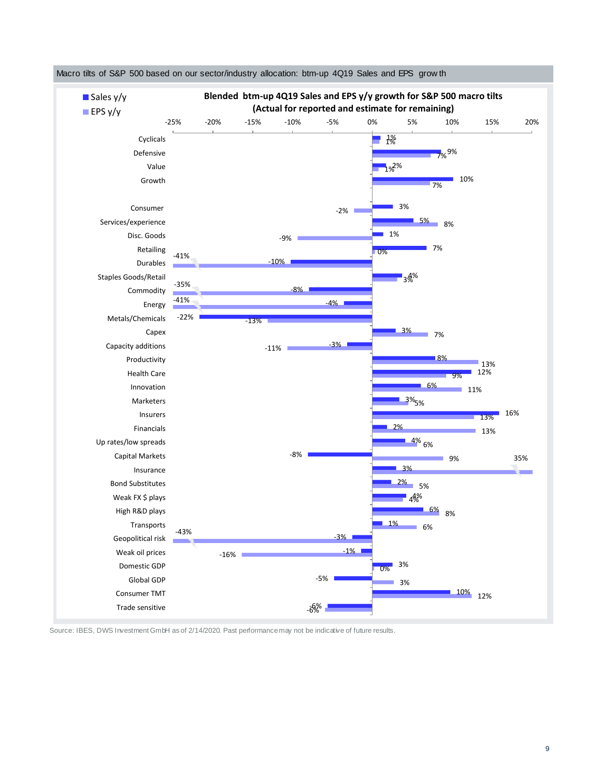

Macro tilts of S&P 500 based on our sector/industry allocation: btm-up 4Q19 Sales and EPS grow th

Source: IBES, DWS Investment GmbH as of 2/14/2020. Past performance may not be indicative of future results.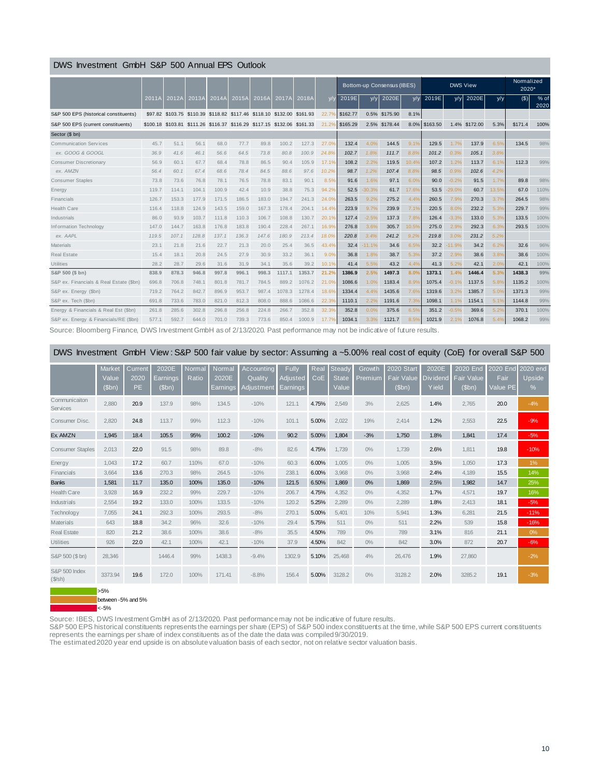## DWS Investment GmbH S&P 500 Annual EPS Outlook

|                                                                                                                          |         |       |                                                                         |       |       |       |        |        |                | Bottom-up Consensus (IBES) |          |               |       |               | <b>DWS View</b> |          | Normalized<br>2020* |         |              |
|--------------------------------------------------------------------------------------------------------------------------|---------|-------|-------------------------------------------------------------------------|-------|-------|-------|--------|--------|----------------|----------------------------|----------|---------------|-------|---------------|-----------------|----------|---------------------|---------|--------------|
|                                                                                                                          | 2011A   | 2012A | 2013A                                                                   | 2014A | 2015A | 2016A | 2017A  | 2018A  | V/V            | 2019E                      | y/y      | 2020E         | y/y   | 2019E         | y/y             | 2020E    | y/y                 | $($ \$) | % of<br>2020 |
| S&P 500 EPS (historical constituents)                                                                                    | \$97.82 |       | \$103.75 \$110.39 \$118.82 \$117.46 \$118.10 \$132.00 \$161.93          |       |       |       |        |        | $22.7^{\circ}$ | \$162.77                   |          | 0.5% \$175.90 | 8.1%  |               |                 |          |                     |         |              |
| S&P 500 EPS (current constituents)                                                                                       |         |       | \$100.18 \$103.81 \$111.26 \$116.37 \$116.29 \$117.15 \$132.06 \$161.33 |       |       |       |        |        | 21.2%          | \$165.29                   |          | 2.5% \$178.44 |       | 8.0% \$163.50 | 1.4%            | \$172.00 | 5.3%                | \$171.4 | 100%         |
| Sector (\$ bn)                                                                                                           |         |       |                                                                         |       |       |       |        |        |                |                            |          |               |       |               |                 |          |                     |         |              |
| <b>Communication Services</b>                                                                                            | 45.7    | 51.1  | 56.1                                                                    | 68.0  | 77.7  | 89.8  | 100.2  | 127.3  | 27.0%          | 132.4                      | 4.0%     | 144.5         | 9.1%  | 129.5         | 1.7%            | 137.9    | 6.5%                | 134.5   | 98%          |
| ex. GOOG & GOOGL                                                                                                         | 36.9    | 41.6  | 46.1                                                                    | 56.6  | 64.5  | 73.8  | 80.8   | 100.9  | 24.8%          | 102.7                      | 1.8%     | 111.7         | 8.8%  | 101.2         | 0.3%            | 105.1    | 3.8%                |         |              |
| <b>Consumer Discretionary</b>                                                                                            | 56.9    | 60.1  | 67.7                                                                    | 68.4  | 78.8  | 86.5  | 90.4   | 105.9  | 17.1%          | 108.2                      | 2.2%     | 119.5         | 10.4% | 107.2         | 1.2%            | 113.7    | 6.1%                | 112.3   | 99%          |
| ex. AMZN                                                                                                                 | 56.4    | 60.1  | 67.4                                                                    | 68.6  | 78.4  | 84.5  | 88.6   | 97.6   | 10.2%          | 98.7                       | 1.2%     | 107.4         | 8.8%  | 98.5          | 0.9%            | 102.6    | 4.2%                |         |              |
| <b>Consumer Staples</b>                                                                                                  | 73.8    | 73.6  | 76.8                                                                    | 78.1  | 76.5  | 78.8  | 83.1   | 90.1   | 8.5%           | 91.6                       | 1.6%     | 97.1          | 6.0%  | 90.0          | $-0.2%$         | 91.5     | 1.7%                | 89.8    | 98%          |
| Energy                                                                                                                   | 119.7   | 114.1 | 104.1                                                                   | 100.9 | 42.4  | 10.9  | 38.8   | 75.3   | 94.2%          | 52.5                       | $-30.3%$ | 61.7          | 17.6% | 53.5          | $-29.0%$        | 60.7     | 13.5%               | 67.0    | 110%         |
| Financials                                                                                                               | 126.7   | 153.3 | 177.9                                                                   | 171.5 | 186.5 | 183.0 | 194.7  | 241.3  | 24.0%          | 263.5                      | 9.2%     | 275.2         | 4.4%  | 260.5         | 7.9%            | 270.3    | 3.7%                | 264.5   | 98%          |
| <b>Health Care</b>                                                                                                       | 116.4   | 118.8 | 124.9                                                                   | 143.5 | 159.0 | 167.3 | 178.4  | 204.1  | 14.4%          | 223.9                      | 9.7%     | 239.9         | 7.1%  | 220.5         | 8.0%            | 232.2    | 5.3%                | 229.7   | 99%          |
| Industrials                                                                                                              | 86.0    | 93.9  | 103.7                                                                   | 111.8 | 110.3 | 106.7 | 108.8  | 130.7  | 20.1%          | 127.4                      | $-2.5%$  | 137.3         | 7.8%  | 126.4         | $-3.3%$         | 133.0    | 5.3%                | 133.5   | 100%         |
| Information Technology                                                                                                   | 147.0   | 144.7 | 163.8                                                                   | 176.8 | 183.8 | 190.4 | 228.4  | 267.1  | 16.9%          | 276.8                      | 3.6%     | 305.7         | 10.5% | 275.0         | 2.9%            | 292.3    | 6.3%                | 293.5   | 100%         |
| ex. AAPL                                                                                                                 | 119.5   | 107.1 | 128.8                                                                   | 137.1 | 136.3 | 147.6 | 180.9  | 213.4  | 18.0%          | 220.8                      | 3.4%     | 241.2         | 9.29  | 219.8         | 3.0%            | 231.2    | 5.2%                |         |              |
| Materials                                                                                                                | 23.1    | 21.8  | 21.6                                                                    | 22.7  | 21.3  | 20.0  | 25.4   | 36.5   | 43.4%          | 32.4                       | $-11.1%$ | 34.6          | 6.5%  | 32.2          | 11.9%           | 34.2     | 6.2%                | 32.6    | 96%          |
| <b>Real Estate</b>                                                                                                       | 15.4    | 18.1  | 20.8                                                                    | 24.5  | 27.9  | 30.9  | 33.2   | 36.1   | 9.0%           | 36.8                       | 1.8%     | 38.7          | 5.3%  | 37.2          | 2.9%            | 38.6     | 3.8%                | 38.6    | 100%         |
| Utilities                                                                                                                | 28.2    | 28.7  | 29.6                                                                    | 31.6  | 31.9  | 34.1  | 35.6   | 39.2   | 10.1%          | 41.4                       | 5.5%     | 43.2          | 4.4%  | 41.3          | 5.2%            | 42.1     | 2.0%                | 42.1    | 100%         |
| S&P 500 (\$ bn)                                                                                                          | 838.9   | 878.3 | 946.8                                                                   | 997.8 | 996.1 | 998.3 | 1117.1 | 1353.7 | 21.2%          | 1386.9                     | 2.5%     | 1497.3        | 8.0%  | 1373.1        | 1.4%            | 1446.4   | 5.3%                | 1438.3  | 99%          |
| S&P ex. Financials & Real Estate (\$bn)                                                                                  | 696.8   | 706.8 | 748.1                                                                   | 801.8 | 781.7 | 784.5 | 889.2  | 1076.2 | 21.0%          | 1086.6                     | 1.0%     | 1183.4        | 8.9%  | 1075.4        | $-0.1%$         | 1137.5   | 5.8%                | 1135.2  | 100%         |
| S&P ex. Energy (\$bn)                                                                                                    | 719.2   | 764.2 | 842.7                                                                   | 896.9 | 953.7 | 987.4 | 1078.3 | 1278.4 | 18.6%          | 1334.4                     | 4.4%     | 1435.6        | 7.6%  | 1319.6        | 3.2%            | 1385.7   | 5.0%                | 1371.3  | 99%          |
| S&P ex. Tech (\$bn)                                                                                                      | 691.8   | 733.6 | 783.0                                                                   | 821.0 | 812.3 | 808.0 | 888.6  | 1086.6 | 22.3%          | 1110.1                     | 2.2%     | 1191.6        | 7.3%  | 1098.1        | 1.1%            | 1154.1   | 5.1%                | 1144.8  | 99%          |
| Energy & Financials & Real Est (\$bn)                                                                                    | 261.8   | 285.6 | 302.8                                                                   | 296.8 | 256.8 | 224.8 | 266.7  | 352.8  | 32.3%          | 352.8                      | 0.0%     | 375.6         | 6.5%  | 351.2         | $-0.5%$         | 369.6    | 5.2%                | 370.1   | 100%         |
| S&P ex. Energy & Financials/RE (\$bn)                                                                                    | 577.1   | 592.7 | 644.0                                                                   | 701.0 | 739.3 | 773.6 | 850.4  | 1000.9 | 17.7%          | 1034.1                     | 3.3%     | 1121.7        | 8.5%  | 1021.9        | 2.1%            | 1076.8   | 5.49                | 1068.2  | 99%          |
| Source: Bloomberg Einzege, DVS Investment CmbH as of 2/13/2000, Bast performance may not be indicative of future results |         |       |                                                                         |       |       |       |        |        |                |                            |          |               |       |               |                 |          |                     |         |              |

Source: Bloomberg Finance, DWS Investment GmbH as of 2/13/2020. Past performance may not be indicative of future results.

| DWS Investment GmbH View: S&P 500 fair value by sector: Assuming a ~5.00% real cost of equity (CoE) for overall S&P 500 |  |  |  |
|-------------------------------------------------------------------------------------------------------------------------|--|--|--|
|-------------------------------------------------------------------------------------------------------------------------|--|--|--|

|                                  | DWS Investment GmbH View: S&P 500 fair value by sector: Assuming a ~5.00% real cost of equity (CoE) for overall S&P 500 |                              |                            |                 |                                    |                                     |                               |             |                                 |                   |                                                 |                             |                                        |                              |                         |
|----------------------------------|-------------------------------------------------------------------------------------------------------------------------|------------------------------|----------------------------|-----------------|------------------------------------|-------------------------------------|-------------------------------|-------------|---------------------------------|-------------------|-------------------------------------------------|-----------------------------|----------------------------------------|------------------------------|-------------------------|
|                                  | Market<br>Value<br>(Sbn)                                                                                                | Current<br>2020<br><b>PE</b> | 2020E<br>Earnings<br>(Sbn) | Vormal<br>Ratio | Normal<br>2020E<br><u>Earnings</u> | Accountina<br>Quality<br>Adjustment | Fully<br>Adjusted<br>Earnings | Real<br>CoE | Steady<br><b>State</b><br>Value | Growth<br>Premium | <b>2020</b> Start<br><b>Fair Value</b><br>(Sbn) | 2020E<br>Div idend<br>Yield | 2020 End<br><b>Fair Value</b><br>(Sbn) | 2020 End<br>Fair<br>Value PE | 2020 end<br>Upside<br>% |
| Communicaiton<br><b>Services</b> | 2,880                                                                                                                   | 20.9                         | 137.9                      | 98%             | 134.5                              | $-10%$                              | 121.1                         | 4.75%       | 2,549                           | 3%                | 2,625                                           | 1.4%                        | 2,765                                  | 20.0                         | $-4%$                   |
| Consumer Disc.                   | 2.820                                                                                                                   | 24.8                         | 113.7                      | 99%             | 112.3                              | $-10%$                              | 101.1                         | 5.00%       | 2,022                           | 19%               | 2.414                                           | 1.2%                        | 2,553                                  | 22.5                         | $-9%$                   |
| Ex AMZN                          | 1,945                                                                                                                   | 18.4                         | 105.5                      | 95%             | 100.2                              | $-10%$                              | 90.2                          | 5.00%       | 1,804                           | $-3%$             | 1,750                                           | 1.8%                        | 1,841                                  | 17.4                         | $-5%$                   |
| <b>Consumer Staples</b>          | 2.013                                                                                                                   | 22.0                         | 91.5                       | 98%             | 89.8                               | $-8%$                               | 82.6                          | 4.75%       | 1.739                           | $0\%$             | 1.739                                           | 2.6%                        | 1.811                                  | 19.8                         | $-10%$                  |
| Energy                           | 1.043                                                                                                                   | 17.2                         | 60.7                       | 110%            | 67.0                               | $-10%$                              | 60.3                          | 6.00%       | 1.005                           | $0\%$             | 1.005                                           | 3.5%                        | 1.050                                  | 17.3                         | 1%                      |
| Financials                       | 3.664                                                                                                                   | 13.6                         | 270.3                      | 98%             | 264.5                              | $-10%$                              | 238.1                         | 6.00%       | 3.968                           | $0\%$             | 3.968                                           | 2.4%                        | 4,189                                  | 15.5                         | 14%                     |
| <b>Banks</b>                     | 1.581                                                                                                                   | 11.7                         | 135.0                      | 100%            | 135.0                              | $-10%$                              | 121.5                         | 6.50%       | 1,869                           | 0%                | 1,869                                           | 2.5%                        | 1,982                                  | 14.7                         | 25%                     |
| <b>Health Care</b>               | 3,928                                                                                                                   | 16.9                         | 232.2                      | 99%             | 229.7                              | $-10%$                              | 206.7                         | 4.75%       | 4,352                           | $0\%$             | 4,352                                           | 1.7%                        | 4,571                                  | 19.7                         | 16%                     |
| Industrials                      | 2,554                                                                                                                   | 19.2                         | 133.0                      | 100%            | 133.5                              | $-10%$                              | 120.2                         | 5.25%       | 2,289                           | $0\%$             | 2,289                                           | 1.8%                        | 2,413                                  | 18.1                         | $-5%$                   |
| Technology                       | 7,055                                                                                                                   | 24.1                         | 292.3                      | 100%            | 293.5                              | $-8%$                               | 270.1                         | 5.00%       | 5,401                           | 10%               | 5,941                                           | 1.3%                        | 6,281                                  | 21.5                         | $-11%$                  |
| <b>Materials</b>                 | 643                                                                                                                     | 18.8                         | 34.2                       | 96%             | 32.6                               | $-10%$                              | 29.4                          | 5.75%       | 511                             | $0\%$             | 511                                             | 2.2%                        | 539                                    | 15.8                         | $-16%$                  |
| <b>Real Estate</b>               | 820                                                                                                                     | 21.2                         | 38.6                       | 100%            | 38.6                               | $-8%$                               | 35.5                          | 4.50%       | 789                             | $0\%$             | 789                                             | 3.1%                        | 816                                    | 21.1                         | 0%                      |
| <b>Utilities</b>                 | 926                                                                                                                     | 22.0                         | 42.1                       | 100%            | 42.1                               | $-10%$                              | 37.9                          | 4.50%       | 842                             | $0\%$             | 842                                             | 3.0%                        | 872                                    | 20.7                         | $-6%$                   |
| S&P 500 (\$ bn)                  | 28,346                                                                                                                  |                              | 1446.4                     | 99%             | 1438.3                             | $-9.4%$                             | 1302.9                        | 5.10%       | 25,468                          | 4%                | 26,476                                          | 1.9%                        | 27,860                                 |                              | $-2%$                   |
| S&P 500 Index<br>$(S/\sh)$       | 3373.94                                                                                                                 | 19.6                         | 172.0                      | 100%            | 171.41                             | $-8.8%$                             | 156.4                         | 5.00%       | 3128.2                          | $0\%$             | 3128.2                                          | 2.0%                        | 3285.2                                 | 19.1                         | $-3%$                   |

 $5\%$ between -5% and 5%

 $\overline{\bullet}$  <-5%

Source: IBES, DWS Investment GmbH as of 2/13/2020. Past performance may not be indicative of future results.

S&P 500 EPS historical constituents represents the earnings per share (EPS) of S&P 500 index constituents at the time, while S&P 500 EPS current constituents represents the earnings per share of index constituents as of the date the data was compiled 9/30/2019.

The estimated 2020 year end upside is on absolute valuation basis of each sector, not on relative sector valuation basis.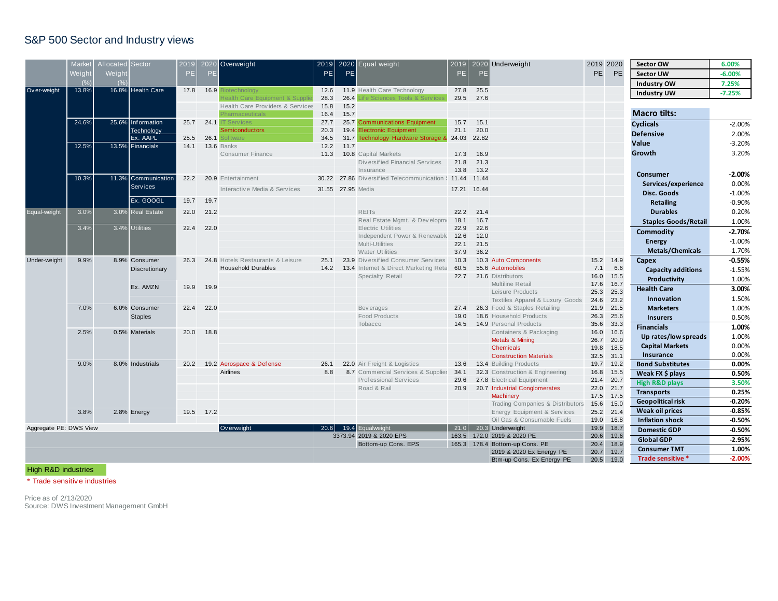# S&P 500 Sector and Industry views

|                                       | Market | Allocated Sector |                     |           |      | 2020 Overweight                   | 2019              |                  | 2020 Equal weight                                          | 2019         |                  | 2020 Underweight                                       | 2019 2020    |                     | <b>Sector OW</b>            | 6.00%    |
|---------------------------------------|--------|------------------|---------------------|-----------|------|-----------------------------------|-------------------|------------------|------------------------------------------------------------|--------------|------------------|--------------------------------------------------------|--------------|---------------------|-----------------------------|----------|
|                                       |        |                  |                     | 2019      |      |                                   |                   |                  |                                                            |              |                  |                                                        |              |                     |                             |          |
|                                       | Neight | Weight           |                     | <b>PE</b> | PE   |                                   | PE                | PE               |                                                            | PE           | PE.              |                                                        | <b>PE</b>    | PE                  | <b>Sector UW</b>            | $-6.00%$ |
|                                       |        |                  |                     |           |      |                                   |                   |                  |                                                            |              |                  |                                                        |              |                     | Industry OW                 | 7.25%    |
| Ov er-weight<br>Equal-weight          | 13.8%  |                  | 16.8% Health Care   | 17.8      | 16.9 |                                   | 12.6<br>28.3      | 26.4             | 11.9 Health Care Technology<br>e Sciences Tools & Services | 27.8<br>29.5 | 25.5<br>27.6     |                                                        |              |                     | <b>Industry UW</b>          | $-7.25%$ |
|                                       |        |                  |                     |           |      | Health Care Providers & Services  | 15.8              | 15.2             |                                                            |              |                  |                                                        |              |                     |                             |          |
|                                       |        |                  |                     |           |      | Pharmaceuticals                   | 16.4              | 15.7             |                                                            |              |                  |                                                        |              |                     | <b>Macro tilts:</b>         |          |
|                                       | 24.6%  |                  | 25.6% Information   | 25.7      | 24.1 | T Services                        | 27.7              |                  | 25.7 Communications Equipment                              | 15.7         | 15.1             |                                                        |              |                     | <b>Cyclicals</b>            | $-2.00%$ |
|                                       |        |                  | Technology          |           |      | <b>iemiconductors</b>             | 20.3              |                  | 19.4 Electronic Equipment                                  | 21.1         | 20.0             |                                                        |              |                     | <b>Defensive</b>            | 2.00%    |
|                                       |        |                  | Ex. AAPL            | 25.5      |      | 26.1 Softwar                      | 34.5              |                  | 31.7 Technology Hardware Storage & 24.03 22.82             |              |                  |                                                        |              |                     |                             |          |
|                                       | 12.5%  |                  | 13.5% Financials    | 14.1      |      | <b>13.6 Banks</b>                 | 12.2              | 11.7             |                                                            |              |                  |                                                        |              |                     | Value                       | $-3.20%$ |
|                                       |        |                  |                     |           |      | <b>Consumer Finance</b>           | 11.3              |                  | 10.8 Capital Markets                                       | 17.3         | 16.9             |                                                        |              |                     | Growth                      | 3.20%    |
|                                       |        |                  |                     |           |      |                                   |                   |                  | Diversified Financial Services                             | 21.8         | 21.3             |                                                        |              |                     |                             |          |
|                                       |        |                  |                     |           |      |                                   |                   |                  | Insurance                                                  | 13.8         | 13.2             |                                                        |              |                     | Consumer                    | $-2.00%$ |
|                                       | 10.3%  |                  | 11.3% Communication | 22.2      |      | 20.9 Entertainment                |                   |                  | 30.22 27.86 Diversified Telecommunication § 11.44          |              | 11.44            |                                                        |              |                     | Services/experience         | 0.00%    |
|                                       |        |                  | Services            |           |      | Interactive Media & Services      | 31.55 27.95 Media |                  |                                                            | 17.21        | 16.44            |                                                        |              |                     | Disc. Goods                 | $-1.00%$ |
|                                       |        |                  | Ex. GOOGL           | 19.7      | 19.7 |                                   |                   |                  |                                                            |              |                  |                                                        |              |                     | <b>Retailing</b>            | $-0.90%$ |
|                                       | 3.0%   |                  | 3.0% Real Estate    | 22.0      | 21.2 |                                   |                   |                  | <b>REITS</b>                                               | 22.2         | 21.4             |                                                        |              |                     | <b>Durables</b>             | 0.20%    |
|                                       |        |                  |                     |           |      |                                   |                   |                  | Real Estate Mgmt. & Developme                              | 18.1         | 16.7             |                                                        |              |                     |                             |          |
|                                       | 3.4%   |                  | 3.4% Utilities      | 22.4      | 22.0 |                                   |                   |                  | <b>Electric Utilities</b>                                  | 22.9         | 22.6             |                                                        |              |                     | <b>Staples Goods/Retail</b> | $-1.00%$ |
|                                       |        |                  |                     |           |      |                                   |                   |                  | Independent Power & Renewable                              | 12.6         | 12.0             |                                                        |              |                     | <b>Commodity</b>            | $-2.70%$ |
|                                       |        |                  |                     |           |      |                                   |                   |                  | Multi-Utilities                                            | 22.1         | 21.5             |                                                        |              |                     | <b>Energy</b>               | $-1.00%$ |
|                                       |        |                  |                     |           |      |                                   |                   |                  | <b>Water Utilities</b>                                     | 37.9         | 36.2             |                                                        |              |                     | Metals/Chemicals            | $-1.70%$ |
| Under-weight                          | 9.9%   |                  | 8.9% Consumer       | 26.3      |      | 24.8 Hotels Restaurants & Leisure | 25.1              |                  | 23.9 Diversified Consumer Services                         | 10.3         |                  | 10.3 Auto Components                                   |              | 15.2 14.9           | Capex                       | $-0.55%$ |
|                                       |        |                  | Discretionary       |           |      | <b>Household Durables</b>         | 14.2              |                  | 13.4 Internet & Direct Marketing Reta                      | 60.5         |                  | 55.6 Automobiles                                       | 7.1          | 6.6                 | <b>Capacity additions</b>   | $-1.55%$ |
|                                       |        |                  |                     |           |      |                                   |                   |                  | Specialty Retail                                           | 22.7         |                  | 21.6 Distributors                                      | 16.0         | 15.5                | Productivity                | 1.00%    |
|                                       |        |                  | Ex. AMZN            | 19.9      | 19.9 |                                   |                   |                  |                                                            |              |                  | Multiline Retail                                       | 17.6         | 16.7                | <b>Health Care</b>          | 3.00%    |
|                                       |        |                  |                     |           |      |                                   |                   |                  |                                                            |              |                  | Leisure Products                                       | 25.3         | 25.3                |                             | 1.50%    |
|                                       |        |                  |                     |           |      |                                   |                   |                  |                                                            |              |                  | Textiles Apparel & Luxury Goods                        | 24.6         | 23.2                | Innovation                  |          |
|                                       | 7.0%   |                  | 6.0% Consumer       | 22.4      | 22.0 |                                   |                   |                  | Bev erages                                                 | 27.4         |                  | 26.3 Food & Staples Retailing                          | 21.9         | 21.5                | <b>Marketers</b>            | 1.00%    |
|                                       |        |                  | <b>Staples</b>      |           |      |                                   |                   |                  | <b>Food Products</b><br>Tobacco                            | 19.0<br>14.5 |                  | 18.6 Household Products<br>14.9 Personal Products      | 26.3<br>35.6 | 25.6<br>33.3        | <b>Insurers</b>             | 0.50%    |
|                                       | 2.5%   |                  | 0.5% Materials      | 20.0      | 18.8 |                                   |                   |                  |                                                            |              |                  | Containers & Packaging                                 | 16.0         | 16.6                | <b>Financials</b>           | 1.00%    |
|                                       |        |                  |                     |           |      |                                   |                   |                  |                                                            |              |                  | Metals & Mining                                        | 26.7         | 20.9                | Up rates/low spreads        | 1.00%    |
|                                       |        |                  |                     |           |      |                                   |                   |                  |                                                            |              |                  | <b>Chemicals</b>                                       | 19.8         | 18.5                | <b>Capital Markets</b>      | 0.00%    |
|                                       |        |                  |                     |           |      |                                   |                   |                  |                                                            |              |                  | <b>Construction Materials</b>                          | 32.5         | 31.1                | Insurance                   | 0.00%    |
|                                       | 9.0%   |                  | 8.0% Industrials    | 20.2      |      | 19.2 Aerospace & Defense          | 26.1              |                  | 22.0 Air Freight & Logistics                               | 13.6         |                  | 13.4 Building Products                                 | 19.7         | 19.2                | <b>Bond Substitutes</b>     | 0.00%    |
|                                       |        |                  |                     |           |      | <b>Airlines</b>                   | 8.8               |                  | 8.7 Commercial Services & Supplies                         | 34.1         |                  | 32.3 Construction & Engineering                        | 16.8         | 15.5                | Weak FX \$ plays            | 0.50%    |
|                                       |        |                  |                     |           |      |                                   |                   |                  | Professional Services                                      | 29.6         |                  | 27.8 Electrical Equipment                              | 21.4         | 20.7                | <b>High R&amp;D plays</b>   | 3.50%    |
|                                       |        |                  |                     |           |      |                                   |                   |                  | Road & Rail                                                | 20.9         |                  | 20.7 Industrial Conglomerates                          | 22.0         | 21.7                | <b>Transports</b>           | 0.25%    |
|                                       |        |                  |                     |           |      |                                   |                   |                  |                                                            |              |                  | <b>Machinery</b>                                       | 17.5         | 17.5                |                             |          |
|                                       |        |                  |                     |           |      |                                   |                   |                  |                                                            |              |                  | Trading Companies & Distributors                       | 15.6         | 15.0                | <b>Geopolitical risk</b>    | $-0.20%$ |
|                                       | 3.8%   |                  | 2.8% Energy         | 19.5      | 17.2 |                                   |                   |                  |                                                            |              |                  | Energy Equipment & Services                            | 25.2         | 21.4                | <b>Weak oil prices</b>      | $-0.85%$ |
|                                       |        |                  |                     |           |      |                                   |                   |                  |                                                            |              |                  | Oil Gas & Consumable Fuels                             | 19.0         | 16.8                | <b>Inflation shock</b>      | $-0.50%$ |
| Aggregate PE: DWS View<br>Ov erweight |        |                  |                     |           |      | 20.6                              |                   | 19.4 Equalweight | 21.0                                                       |              | 20.3 Underweight | 19.9                                                   | 18.7         | <b>Domestic GDP</b> | $-0.50%$                    |          |
|                                       |        |                  |                     |           |      |                                   |                   |                  | 3373.94 2019 & 2020 EPS<br>Bottom-up Cons. EPS             | 163.5        |                  | 172.0 2019 & 2020 PE<br>165.3 178.4 Bottom-up Cons. PE | 20.6<br>20.4 | 19.6<br>18.9        | <b>Global GDP</b>           | $-2.95%$ |
|                                       |        |                  |                     |           |      |                                   |                   |                  |                                                            |              |                  | 2019 & 2020 Ex Energy PE                               | 20.7         | 19.7                | <b>Consumer TMT</b>         | 1.00%    |
|                                       |        |                  |                     |           |      |                                   |                   |                  |                                                            |              |                  |                                                        |              |                     | Trade sensitive *           | $-2.00%$ |

High R&D industries

\* Trade sensitiv e industries

Price as of 2/13/2020 Source: DWS Investment Management GmbH